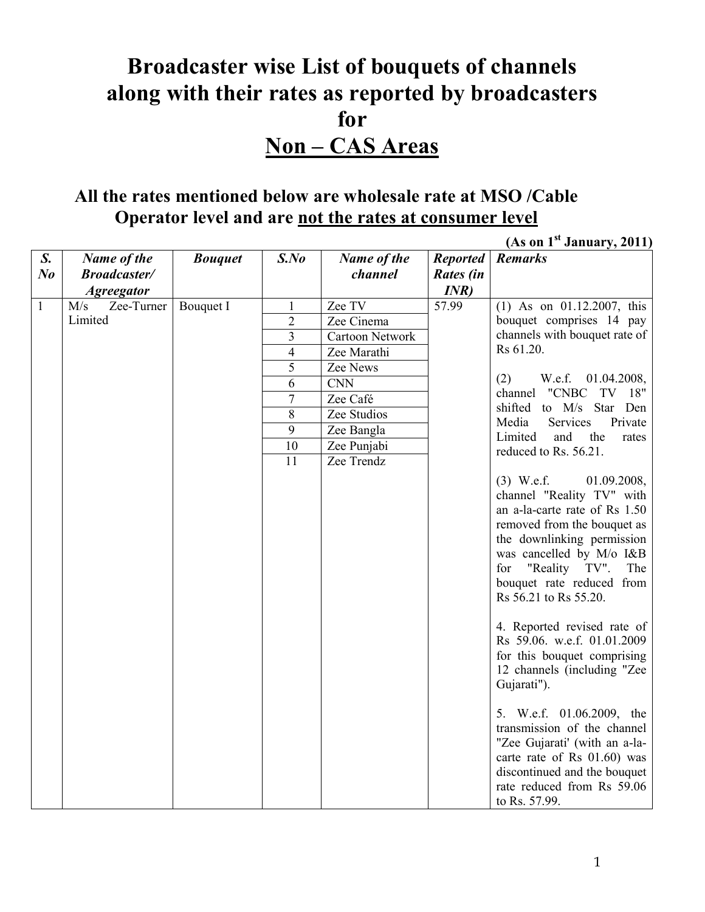## **Broadcaster wise List of bouquets of channels along with their rates as reported by broadcasters for Non – CAS Areas**

## **All the rates mentioned below are wholesale rate at MSO /Cable Operator level and are not the rates at consumer level**

|              |                     |                |                 |                        |                 | (As on I <sup>2</sup> January, 2011)                       |
|--------------|---------------------|----------------|-----------------|------------------------|-----------------|------------------------------------------------------------|
| S.           | Name of the         | <b>Bouquet</b> | $S$ .No         | Name of the            | <b>Reported</b> | <b>Remarks</b>                                             |
| $N_{0}$      | <b>Broadcaster/</b> |                |                 | channel                | Rates (in       |                                                            |
|              | <b>Agreegator</b>   |                |                 |                        | INR             |                                                            |
| $\mathbf{1}$ | Zee-Turner<br>M/s   | Bouquet I      | 1               | Zee TV                 | 57.99           | $(1)$ As on 01.12.2007, this                               |
|              | Limited             |                | $\overline{2}$  | Zee Cinema             |                 | bouquet comprises 14 pay                                   |
|              |                     |                | $\overline{3}$  | <b>Cartoon Network</b> |                 | channels with bouquet rate of                              |
|              |                     |                | $\overline{4}$  | Zee Marathi            |                 | Rs 61.20.                                                  |
|              |                     |                | 5               | Zee News               |                 |                                                            |
|              |                     |                | 6               | <b>CNN</b>             |                 | (2)<br>W.e.f.<br>01.04.2008,                               |
|              |                     |                | $\overline{7}$  | Zee Café               |                 | channel<br>"CNBC<br>TV 18"                                 |
|              |                     |                | 8               | Zee Studios            |                 | shifted to M/s Star Den                                    |
|              |                     |                | $\overline{9}$  | Zee Bangla             |                 | <b>Services</b><br>Private<br>Media                        |
|              |                     |                | $\overline{10}$ | Zee Punjabi            |                 | the<br>Limited<br>and<br>rates<br>reduced to Rs. 56.21.    |
|              |                     |                | $\overline{11}$ | Zee Trendz             |                 |                                                            |
|              |                     |                |                 |                        |                 | $(3)$ W.e.f.<br>01.09.2008,                                |
|              |                     |                |                 |                        |                 | channel "Reality TV" with                                  |
|              |                     |                |                 |                        |                 | an a-la-carte rate of Rs 1.50                              |
|              |                     |                |                 |                        |                 | removed from the bouquet as                                |
|              |                     |                |                 |                        |                 | the downlinking permission                                 |
|              |                     |                |                 |                        |                 |                                                            |
|              |                     |                |                 |                        |                 | was cancelled by M/o I&B                                   |
|              |                     |                |                 |                        |                 | for "Reality TV".<br>The                                   |
|              |                     |                |                 |                        |                 | bouquet rate reduced from                                  |
|              |                     |                |                 |                        |                 | Rs 56.21 to Rs 55.20.                                      |
|              |                     |                |                 |                        |                 |                                                            |
|              |                     |                |                 |                        |                 | 4. Reported revised rate of<br>Rs 59.06. w.e.f. 01.01.2009 |
|              |                     |                |                 |                        |                 |                                                            |
|              |                     |                |                 |                        |                 | for this bouquet comprising                                |
|              |                     |                |                 |                        |                 | 12 channels (including "Zee                                |
|              |                     |                |                 |                        |                 | Gujarati").                                                |
|              |                     |                |                 |                        |                 | 5. W.e.f. 01.06.2009, the                                  |
|              |                     |                |                 |                        |                 | transmission of the channel                                |
|              |                     |                |                 |                        |                 |                                                            |
|              |                     |                |                 |                        |                 | "Zee Gujarati' (with an a-la-                              |
|              |                     |                |                 |                        |                 | carte rate of Rs 01.60) was                                |
|              |                     |                |                 |                        |                 | discontinued and the bouquet                               |
|              |                     |                |                 |                        |                 | rate reduced from Rs 59.06                                 |
|              |                     |                |                 |                        |                 | to Rs. 57.99.                                              |

 **(As on 1st January, 2011)**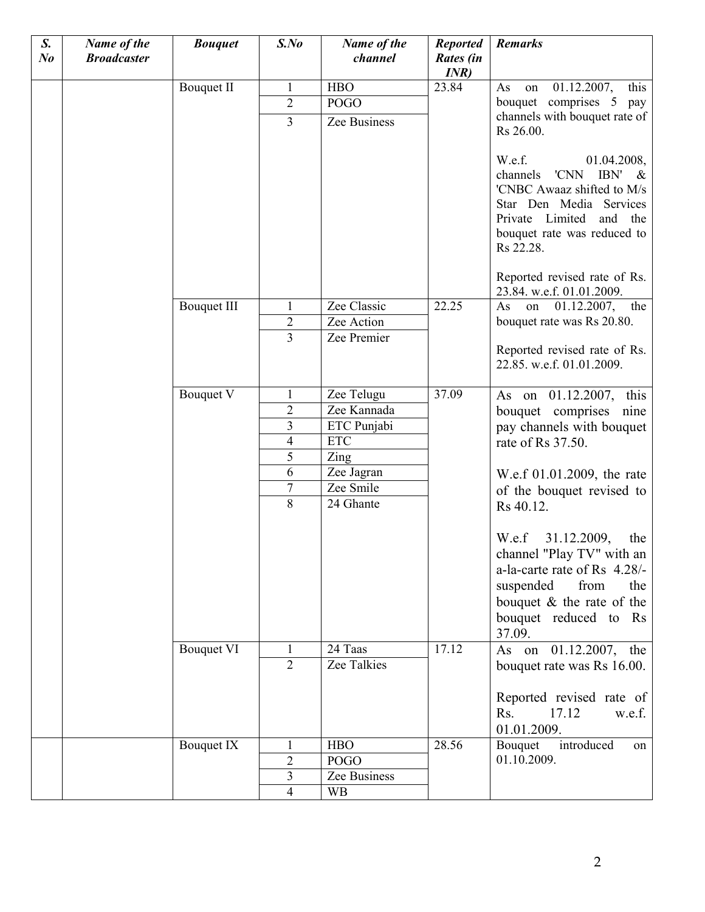| S.<br>N <sub>o</sub> | Name of the<br><b>Broadcaster</b> | <b>Bouquet</b>     | $S$ .No                  | Name of the<br>channel | <b>Reported</b><br>Rates (in<br>INR) | <b>Remarks</b>                                                                                                                                                                            |
|----------------------|-----------------------------------|--------------------|--------------------------|------------------------|--------------------------------------|-------------------------------------------------------------------------------------------------------------------------------------------------------------------------------------------|
|                      |                                   | <b>Bouquet II</b>  | $\mathbf{1}$             | <b>HBO</b>             | 23.84                                | 01.12.2007,<br>this<br>As<br>on                                                                                                                                                           |
|                      |                                   |                    | $\overline{2}$           | <b>POGO</b>            |                                      | bouquet comprises 5 pay                                                                                                                                                                   |
|                      |                                   |                    | $\overline{3}$           | Zee Business           |                                      | channels with bouquet rate of                                                                                                                                                             |
|                      |                                   |                    |                          |                        |                                      | Rs 26.00.                                                                                                                                                                                 |
|                      |                                   |                    |                          |                        |                                      | W.e.f.<br>01.04.2008,<br>channels<br>'CNN<br>IBN' $\&$<br>'CNBC Awaaz shifted to M/s<br>Star Den Media Services<br>Private Limited<br>and the<br>bouquet rate was reduced to<br>Rs 22.28. |
|                      |                                   |                    |                          |                        |                                      | Reported revised rate of Rs.<br>23.84. w.e.f. 01.01.2009.                                                                                                                                 |
|                      |                                   | <b>Bouquet III</b> | 1                        | Zee Classic            | 22.25                                | on 01.12.2007,<br>the<br>As                                                                                                                                                               |
|                      |                                   |                    | $\overline{2}$           | Zee Action             |                                      | bouquet rate was Rs 20.80.                                                                                                                                                                |
|                      |                                   |                    | $\overline{3}$           | Zee Premier            |                                      | Reported revised rate of Rs.<br>22.85. w.e.f. 01.01.2009.                                                                                                                                 |
|                      |                                   | Bouquet V          | $\mathbf{1}$             | Zee Telugu             | 37.09                                | As on 01.12.2007, this                                                                                                                                                                    |
|                      |                                   |                    | $\overline{2}$           | Zee Kannada            |                                      | bouquet comprises nine                                                                                                                                                                    |
|                      |                                   |                    | $\overline{\mathbf{3}}$  | ETC Punjabi            |                                      | pay channels with bouquet                                                                                                                                                                 |
|                      |                                   |                    | $\overline{4}$           | <b>ETC</b>             |                                      | rate of Rs 37.50.                                                                                                                                                                         |
|                      |                                   |                    | 5                        | Zing                   |                                      |                                                                                                                                                                                           |
|                      |                                   |                    | 6                        | Zee Jagran             |                                      | W.e.f 01.01.2009, the rate                                                                                                                                                                |
|                      |                                   |                    | 7                        | Zee Smile              |                                      | of the bouquet revised to                                                                                                                                                                 |
|                      |                                   |                    | $\overline{8}$           | 24 Ghante              |                                      | Rs 40.12.                                                                                                                                                                                 |
|                      |                                   |                    |                          |                        |                                      | W.e.f 31.12.2009,<br>the<br>channel "Play TV" with an<br>a-la-carte rate of Rs 4.28/-<br>suspended<br>from<br>the<br>bouquet $\&$ the rate of the<br>bouquet reduced to Rs<br>37.09.      |
|                      |                                   | <b>Bouquet VI</b>  | 1                        | 24 Taas                | 17.12                                | As on 01.12.2007, the                                                                                                                                                                     |
|                      |                                   |                    | $\overline{2}$           | Zee Talkies            |                                      | bouquet rate was Rs 16.00.                                                                                                                                                                |
|                      |                                   |                    |                          |                        |                                      | Reported revised rate of<br>17.12<br>Rs.<br>w.e.f.<br>01.01.2009.                                                                                                                         |
|                      |                                   | Bouquet IX         | 1                        | <b>HBO</b>             | 28.56                                | introduced<br>Bouquet<br>on                                                                                                                                                               |
|                      |                                   |                    | $\overline{2}$           | <b>POGO</b>            |                                      | 01.10.2009.                                                                                                                                                                               |
|                      |                                   |                    | 3                        | Zee Business           |                                      |                                                                                                                                                                                           |
|                      |                                   |                    | $\overline{\mathcal{A}}$ | <b>WB</b>              |                                      |                                                                                                                                                                                           |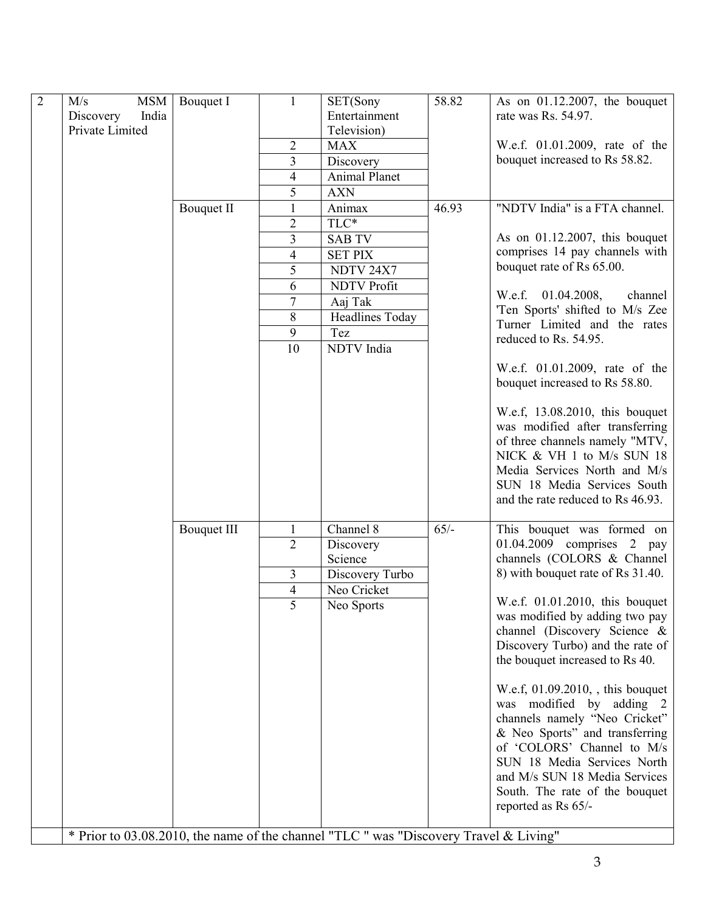| $\overline{2}$ | M/s<br><b>MSM</b>  | Bouquet I          | $\mathbf{1}$   | SET(Sony                                                                              | 58.82  | As on $01.12.2007$ , the bouquet                               |
|----------------|--------------------|--------------------|----------------|---------------------------------------------------------------------------------------|--------|----------------------------------------------------------------|
|                | India<br>Discovery |                    |                | Entertainment                                                                         |        | rate was Rs. 54.97.                                            |
|                | Private Limited    |                    |                | Television)                                                                           |        |                                                                |
|                |                    |                    | $\overline{c}$ | <b>MAX</b>                                                                            |        | W.e.f. 01.01.2009, rate of the                                 |
|                |                    |                    | 3              | Discovery                                                                             |        | bouquet increased to Rs 58.82.                                 |
|                |                    |                    | 4              | <b>Animal Planet</b>                                                                  |        |                                                                |
|                |                    |                    | 5              | <b>AXN</b>                                                                            |        |                                                                |
|                |                    | <b>Bouquet II</b>  | $\mathbf{1}$   | Animax                                                                                | 46.93  | "NDTV India" is a FTA channel.                                 |
|                |                    |                    | $\overline{2}$ | TLC*                                                                                  |        |                                                                |
|                |                    |                    | 3              | <b>SAB TV</b>                                                                         |        | As on $01.12.2007$ , this bouquet                              |
|                |                    |                    | 4              | <b>SET PIX</b>                                                                        |        | comprises 14 pay channels with                                 |
|                |                    |                    | 5              | NDTV 24X7                                                                             |        | bouquet rate of Rs 65.00.                                      |
|                |                    |                    | 6              | <b>NDTV Profit</b>                                                                    |        | W.e.f. 01.04.2008,<br>channel                                  |
|                |                    |                    | 7              | Aaj Tak                                                                               |        | 'Ten Sports' shifted to M/s Zee                                |
|                |                    |                    | 8              | Headlines Today                                                                       |        | Turner Limited and the rates                                   |
|                |                    |                    | 9              | Tez                                                                                   |        | reduced to Rs. 54.95.                                          |
|                |                    |                    | 10             | NDTV India                                                                            |        |                                                                |
|                |                    |                    |                |                                                                                       |        | W.e.f. 01.01.2009, rate of the                                 |
|                |                    |                    |                |                                                                                       |        | bouquet increased to Rs 58.80.                                 |
|                |                    |                    |                |                                                                                       |        |                                                                |
|                |                    |                    |                |                                                                                       |        | W.e.f, 13.08.2010, this bouquet                                |
|                |                    |                    |                |                                                                                       |        | was modified after transferring                                |
|                |                    |                    |                |                                                                                       |        | of three channels namely "MTV,<br>NICK & VH 1 to M/s SUN 18    |
|                |                    |                    |                |                                                                                       |        | Media Services North and M/s                                   |
|                |                    |                    |                |                                                                                       |        | SUN 18 Media Services South                                    |
|                |                    |                    |                |                                                                                       |        | and the rate reduced to Rs 46.93.                              |
|                |                    |                    |                |                                                                                       |        |                                                                |
|                |                    | <b>Bouquet III</b> | $\mathbf{1}$   | Channel 8                                                                             | $65/-$ | This bouquet was formed on                                     |
|                |                    |                    | $\overline{2}$ | Discovery                                                                             |        | 01.04.2009 comprises 2 pay                                     |
|                |                    |                    |                | Science                                                                               |        | channels (COLORS & Channel                                     |
|                |                    |                    | 3              | Discovery Turbo                                                                       |        | 8) with bouquet rate of Rs 31.40.                              |
|                |                    |                    | 4              | Neo Cricket                                                                           |        |                                                                |
|                |                    |                    | 5              | Neo Sports                                                                            |        | W.e.f. $01.01.2010$ , this bouquet                             |
|                |                    |                    |                |                                                                                       |        | was modified by adding two pay<br>channel (Discovery Science & |
|                |                    |                    |                |                                                                                       |        | Discovery Turbo) and the rate of                               |
|                |                    |                    |                |                                                                                       |        | the bouquet increased to Rs 40.                                |
|                |                    |                    |                |                                                                                       |        |                                                                |
|                |                    |                    |                |                                                                                       |        | W.e.f, 01.09.2010, this bouquet                                |
|                |                    |                    |                |                                                                                       |        | was modified by adding 2                                       |
|                |                    |                    |                |                                                                                       |        | channels namely "Neo Cricket"                                  |
|                |                    |                    |                |                                                                                       |        | & Neo Sports" and transferring                                 |
|                |                    |                    |                |                                                                                       |        | of 'COLORS' Channel to M/s                                     |
|                |                    |                    |                |                                                                                       |        | SUN 18 Media Services North                                    |
|                |                    |                    |                |                                                                                       |        | and M/s SUN 18 Media Services                                  |
|                |                    |                    |                |                                                                                       |        | South. The rate of the bouquet                                 |
|                |                    |                    |                |                                                                                       |        | reported as Rs 65/-                                            |
|                |                    |                    |                | * Prior to 03.08.2010, the name of the channel "TLC " was "Discovery Travel & Living" |        |                                                                |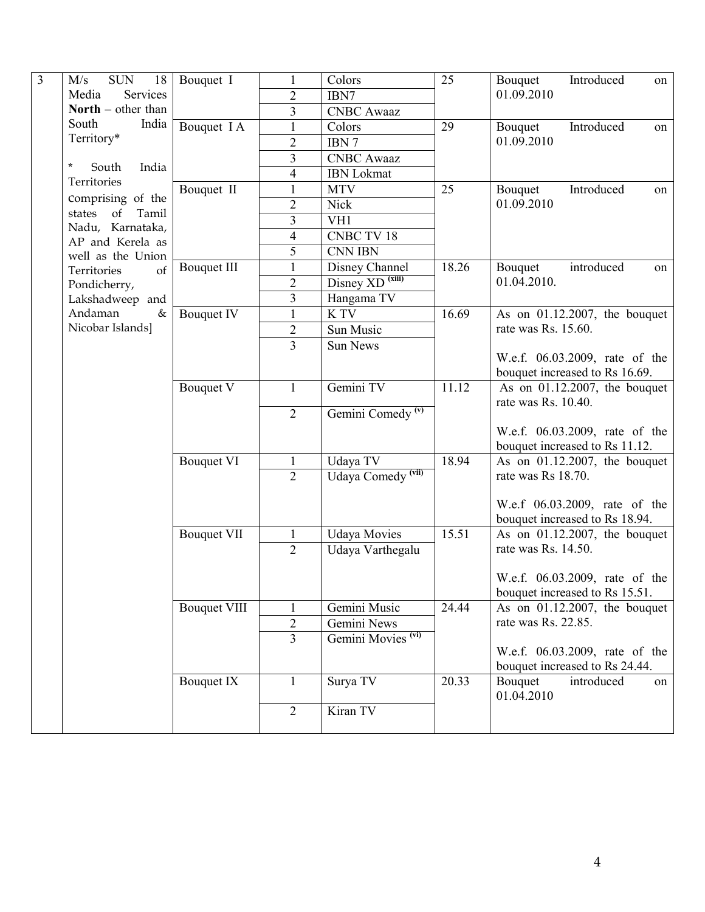| $\overline{3}$ | $\overline{SUN}$                      |                     |                |                               |       |                                  |
|----------------|---------------------------------------|---------------------|----------------|-------------------------------|-------|----------------------------------|
|                | 18<br>M/s                             | Bouquet I           |                | Colors                        | 25    | Introduced<br>Bouquet<br>on      |
|                | Services<br>Media                     |                     | 2              | IBN7                          |       | 01.09.2010                       |
|                | <b>North</b> – other than             |                     | 3              | <b>CNBC</b> Awaaz             |       |                                  |
|                | South<br>India                        | Bouquet I A         | $\mathbf{1}$   | Colors                        | 29    | Introduced<br>Bouquet<br>on      |
|                | Territory*                            |                     | $\overline{c}$ | IBN 7                         |       | 01.09.2010                       |
|                | $\ast$                                |                     | 3              | <b>CNBC</b> Awaaz             |       |                                  |
|                | South<br>India                        |                     | 4              | <b>IBN</b> Lokmat             |       |                                  |
|                | Territories                           | Bouquet II          | $\mathbf{1}$   | <b>MTV</b>                    | 25    | Introduced<br>Bouquet<br>on      |
|                | Comprising of the                     |                     | $\overline{2}$ | <b>Nick</b>                   |       | 01.09.2010                       |
|                | of<br>Tamil<br>states                 |                     | 3              | VH1                           |       |                                  |
|                | Nadu, Karnataka,                      |                     | 4              | <b>CNBC TV 18</b>             |       |                                  |
|                | AP and Kerela as<br>well as the Union |                     | 5              | <b>CNN IBN</b>                |       |                                  |
|                | Territories<br>of                     | <b>Bouquet III</b>  | 1              | Disney Channel                | 18.26 | introduced<br>Bouquet<br>on      |
|                | Pondicherry,                          |                     | $\overline{2}$ | Disney XD <sup>(xiii)</sup>   |       | 01.04.2010.                      |
|                | Lakshadweep and                       |                     | 3              | Hangama TV                    |       |                                  |
|                | Andaman<br>&                          | Bouquet IV          | $\mathbf{1}$   | K TV                          | 16.69 | As on $01.12.2007$ , the bouquet |
|                | Nicobar Islands]                      |                     | $\overline{c}$ | Sun Music                     |       | rate was Rs. 15.60.              |
|                |                                       |                     |                |                               |       |                                  |
|                |                                       |                     | 3              | Sun News                      |       | W.e.f. 06.03.2009, rate of the   |
|                |                                       |                     |                |                               |       | bouquet increased to Rs 16.69.   |
|                |                                       | Bouquet V           | $\mathbf{1}$   | Gemini TV                     | 11.12 | As on $01.12.2007$ , the bouquet |
|                |                                       |                     |                |                               |       | rate was Rs. 10.40.              |
|                |                                       |                     | $\overline{2}$ | Gemini Comedy <sup>(v)</sup>  |       |                                  |
|                |                                       |                     |                |                               |       | W.e.f. 06.03.2009, rate of the   |
|                |                                       |                     |                |                               |       | bouquet increased to Rs 11.12.   |
|                |                                       | <b>Bouquet VI</b>   | 1              | Udaya TV                      | 18.94 | As on $01.12.2007$ , the bouquet |
|                |                                       |                     | $\overline{2}$ | Udaya Comedy <sup>(vii)</sup> |       | rate was Rs 18.70.               |
|                |                                       |                     |                |                               |       |                                  |
|                |                                       |                     |                |                               |       | W.e.f 06.03.2009, rate of the    |
|                |                                       |                     |                |                               |       | bouquet increased to Rs 18.94.   |
|                |                                       | <b>Bouquet VII</b>  | $\mathbf{1}$   | <b>Udaya Movies</b>           | 15.51 | As on $01.12.2007$ , the bouquet |
|                |                                       |                     | $\overline{2}$ | Udaya Varthegalu              |       | rate was Rs. 14.50.              |
|                |                                       |                     |                |                               |       |                                  |
|                |                                       |                     |                |                               |       | W.e.f. 06.03.2009, rate of the   |
|                |                                       |                     |                |                               |       | bouquet increased to Rs 15.51.   |
|                |                                       | <b>Bouquet VIII</b> | 1              | Gemini Music                  | 24.44 | As on $01.12.2007$ , the bouquet |
|                |                                       |                     | $\overline{2}$ | Gemini News                   |       | rate was Rs. 22.85.              |
|                |                                       |                     | 3              | Gemini Movies <sup>(vi)</sup> |       |                                  |
|                |                                       |                     |                |                               |       | W.e.f. 06.03.2009, rate of the   |
|                |                                       |                     |                |                               |       | bouquet increased to Rs 24.44.   |
|                |                                       | Bouquet IX          | 1              | Surya TV                      | 20.33 | Bouquet<br>introduced<br>on      |
|                |                                       |                     |                |                               |       | 01.04.2010                       |
|                |                                       |                     | $\overline{2}$ | Kiran TV                      |       |                                  |
|                |                                       |                     |                |                               |       |                                  |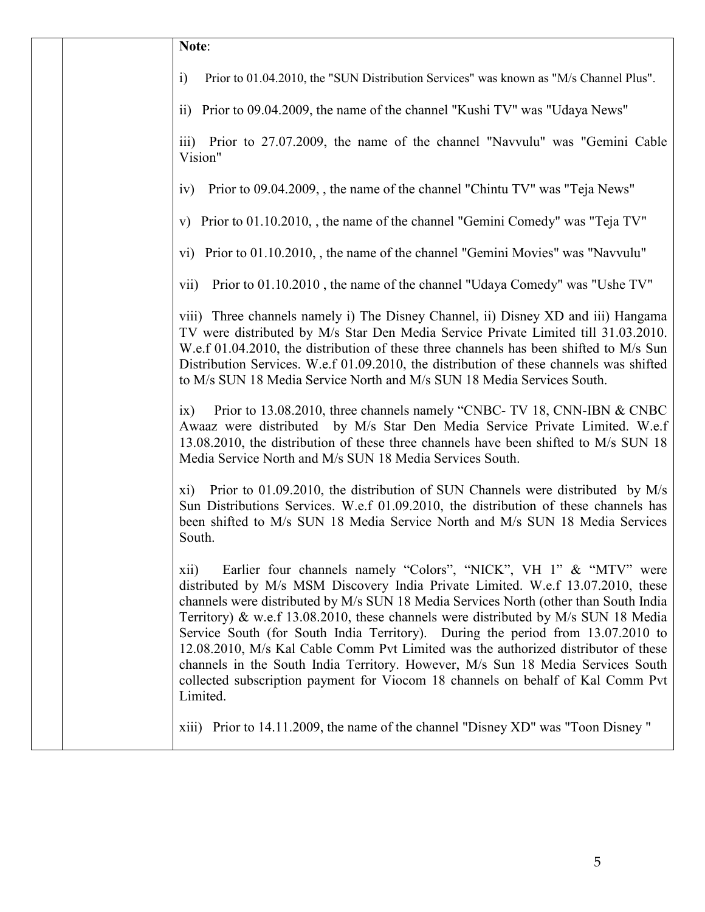|  | Note:                                                                                                                                                                                                                                                                                                                                                                                                                                                                                                                                                                                                                                                                                                 |
|--|-------------------------------------------------------------------------------------------------------------------------------------------------------------------------------------------------------------------------------------------------------------------------------------------------------------------------------------------------------------------------------------------------------------------------------------------------------------------------------------------------------------------------------------------------------------------------------------------------------------------------------------------------------------------------------------------------------|
|  | Prior to 01.04.2010, the "SUN Distribution Services" was known as "M/s Channel Plus".<br>$\ddot{1}$                                                                                                                                                                                                                                                                                                                                                                                                                                                                                                                                                                                                   |
|  | ii) Prior to 09.04.2009, the name of the channel "Kushi TV" was "Udaya News"                                                                                                                                                                                                                                                                                                                                                                                                                                                                                                                                                                                                                          |
|  | iii) Prior to 27.07.2009, the name of the channel "Navvulu" was "Gemini Cable<br>Vision"                                                                                                                                                                                                                                                                                                                                                                                                                                                                                                                                                                                                              |
|  | Prior to 09.04.2009, , the name of the channel "Chintu TV" was "Teja News"<br>iv)                                                                                                                                                                                                                                                                                                                                                                                                                                                                                                                                                                                                                     |
|  | v) Prior to 01.10.2010, , the name of the channel "Gemini Comedy" was "Teja TV"                                                                                                                                                                                                                                                                                                                                                                                                                                                                                                                                                                                                                       |
|  | vi) Prior to 01.10.2010, , the name of the channel "Gemini Movies" was "Navvulu"                                                                                                                                                                                                                                                                                                                                                                                                                                                                                                                                                                                                                      |
|  | Prior to 01.10.2010, the name of the channel "Udaya Comedy" was "Ushe TV"<br>vii)                                                                                                                                                                                                                                                                                                                                                                                                                                                                                                                                                                                                                     |
|  | viii) Three channels namely i) The Disney Channel, ii) Disney XD and iii) Hangama<br>TV were distributed by M/s Star Den Media Service Private Limited till 31.03.2010.<br>W.e.f 01.04.2010, the distribution of these three channels has been shifted to M/s Sun<br>Distribution Services. W.e.f 01.09.2010, the distribution of these channels was shifted<br>to M/s SUN 18 Media Service North and M/s SUN 18 Media Services South.                                                                                                                                                                                                                                                                |
|  | Prior to 13.08.2010, three channels namely "CNBC- TV 18, CNN-IBN & CNBC<br>ix)<br>Awaaz were distributed by M/s Star Den Media Service Private Limited. W.e.f<br>13.08.2010, the distribution of these three channels have been shifted to M/s SUN 18<br>Media Service North and M/s SUN 18 Media Services South.                                                                                                                                                                                                                                                                                                                                                                                     |
|  | Prior to 01.09.2010, the distribution of SUN Channels were distributed by M/s<br>xi)<br>Sun Distributions Services. W.e.f 01.09.2010, the distribution of these channels has<br>been shifted to M/s SUN 18 Media Service North and M/s SUN 18 Media Services<br>South.                                                                                                                                                                                                                                                                                                                                                                                                                                |
|  | Earlier four channels namely "Colors", "NICK", VH 1" & "MTV" were<br>xii)<br>distributed by M/s MSM Discovery India Private Limited. W.e.f 13.07.2010, these<br>channels were distributed by M/s SUN 18 Media Services North (other than South India<br>Territory) & w.e.f 13.08.2010, these channels were distributed by M/s SUN 18 Media<br>Service South (for South India Territory). During the period from 13.07.2010 to<br>12.08.2010, M/s Kal Cable Comm Pvt Limited was the authorized distributor of these<br>channels in the South India Territory. However, M/s Sun 18 Media Services South<br>collected subscription payment for Viocom 18 channels on behalf of Kal Comm Pvt<br>Limited. |
|  | xiii) Prior to 14.11.2009, the name of the channel "Disney XD" was "Toon Disney"                                                                                                                                                                                                                                                                                                                                                                                                                                                                                                                                                                                                                      |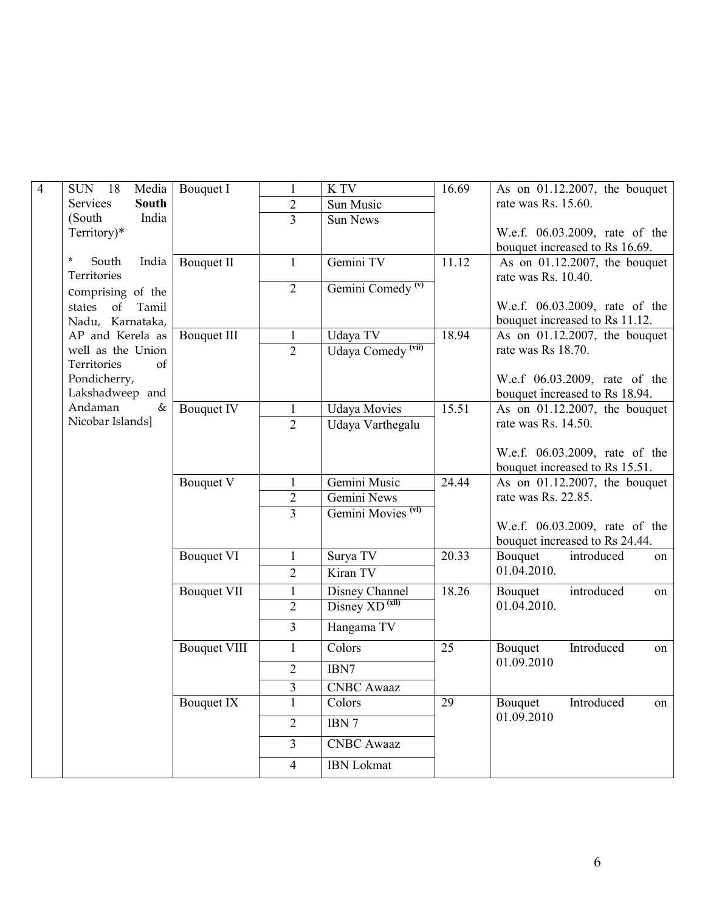| $\overline{4}$ | SUN 18<br>Media                        | Bouquet I           | $\mathbf{1}$   | K TV                          | 16.69 | As on $01.12.2007$ , the bouquet                        |  |  |  |  |
|----------------|----------------------------------------|---------------------|----------------|-------------------------------|-------|---------------------------------------------------------|--|--|--|--|
|                | <b>South</b><br>Services               |                     | $\overline{2}$ | Sun Music                     |       | rate was Rs. 15.60.                                     |  |  |  |  |
|                | (South<br>India                        |                     | $\overline{3}$ | <b>Sun News</b>               |       |                                                         |  |  |  |  |
|                | Territory)*                            |                     |                |                               |       | W.e.f. 06.03.2009, rate of the                          |  |  |  |  |
|                |                                        |                     |                |                               |       | bouquet increased to Rs 16.69.                          |  |  |  |  |
|                | $\star$<br>South<br>India              | <b>Bouquet II</b>   | $\mathbf{1}$   | Gemini TV                     | 11.12 | As on $01.12.2007$ , the bouquet<br>rate was Rs. 10.40. |  |  |  |  |
|                | Territories                            |                     |                |                               |       |                                                         |  |  |  |  |
|                | Comprising of the                      |                     | $\overline{2}$ | Gemini Comedy <sup>(v)</sup>  |       |                                                         |  |  |  |  |
|                | states<br>of<br>Tamil                  |                     |                |                               |       | W.e.f. 06.03.2009, rate of the                          |  |  |  |  |
|                | Nadu, Karnataka,                       |                     |                |                               |       | bouquet increased to Rs 11.12.                          |  |  |  |  |
|                | AP and Kerela as                       | <b>Bouquet III</b>  | $\mathbf{1}$   | Udaya TV                      | 18.94 | As on $01.12.2007$ , the bouquet                        |  |  |  |  |
|                | well as the Union<br>Territories<br>of |                     | $\overline{2}$ | Udaya Comedy <sup>(vii)</sup> |       | rate was Rs 18.70.                                      |  |  |  |  |
|                | Pondicherry,                           |                     |                |                               |       | W.e.f 06.03.2009, rate of the                           |  |  |  |  |
|                | Lakshadweep and                        |                     |                |                               |       | bouquet increased to Rs 18.94.                          |  |  |  |  |
|                | Andaman<br>&                           | <b>Bouquet IV</b>   | $\mathbf{1}$   | <b>Udaya Movies</b>           | 15.51 | As on $01.12.2007$ , the bouquet                        |  |  |  |  |
|                | Nicobar Islands]                       |                     | $\overline{2}$ | Udaya Varthegalu              |       | rate was Rs. 14.50.                                     |  |  |  |  |
|                |                                        |                     |                |                               |       |                                                         |  |  |  |  |
|                |                                        |                     |                |                               |       | W.e.f. 06.03.2009, rate of the                          |  |  |  |  |
|                |                                        |                     |                |                               |       | bouquet increased to Rs 15.51.                          |  |  |  |  |
|                |                                        | Bouquet V           | $\mathbf{1}$   | Gemini Music                  | 24.44 | As on $01.12.2007$ , the bouquet                        |  |  |  |  |
|                |                                        |                     | $\overline{2}$ | Gemini News                   |       | rate was Rs. 22.85.                                     |  |  |  |  |
|                |                                        |                     | 3              | Gemini Movies <sup>(vi)</sup> |       |                                                         |  |  |  |  |
|                |                                        |                     |                |                               |       | W.e.f. 06.03.2009, rate of the                          |  |  |  |  |
|                |                                        |                     |                |                               |       | bouquet increased to Rs 24.44.                          |  |  |  |  |
|                |                                        | <b>Bouquet VI</b>   | $\mathbf{1}$   | Surya TV                      | 20.33 | Bouquet<br>introduced<br>on                             |  |  |  |  |
|                |                                        |                     | $\overline{2}$ | Kiran TV                      |       | 01.04.2010.                                             |  |  |  |  |
|                |                                        | <b>Bouquet VII</b>  | 1              | Disney Channel                | 18.26 | Bouquet<br>introduced<br>on                             |  |  |  |  |
|                |                                        |                     | $\overline{2}$ | $Disney XD^{(xii)}$           |       | 01.04.2010.                                             |  |  |  |  |
|                |                                        |                     | $\overline{3}$ | Hangama TV                    |       |                                                         |  |  |  |  |
|                |                                        |                     |                |                               |       |                                                         |  |  |  |  |
|                |                                        | <b>Bouquet VIII</b> | $\mathbf{1}$   | Colors                        | 25    | Introduced<br>Bouquet<br>on                             |  |  |  |  |
|                |                                        |                     | $\overline{2}$ | IBN7                          |       | 01.09.2010                                              |  |  |  |  |
|                |                                        |                     | 3              | <b>CNBC</b> Awaaz             |       |                                                         |  |  |  |  |
|                |                                        | Bouquet IX          | $\mathbf{1}$   | Colors                        | 29    | Bouquet<br>Introduced<br>on                             |  |  |  |  |
|                |                                        |                     |                | IBN 7                         |       | 01.09.2010                                              |  |  |  |  |
|                |                                        |                     | $\overline{2}$ |                               |       |                                                         |  |  |  |  |
|                |                                        |                     | 3              | <b>CNBC</b> Awaaz             |       |                                                         |  |  |  |  |
|                |                                        |                     | $\overline{4}$ | <b>IBN</b> Lokmat             |       |                                                         |  |  |  |  |
|                |                                        |                     |                |                               |       |                                                         |  |  |  |  |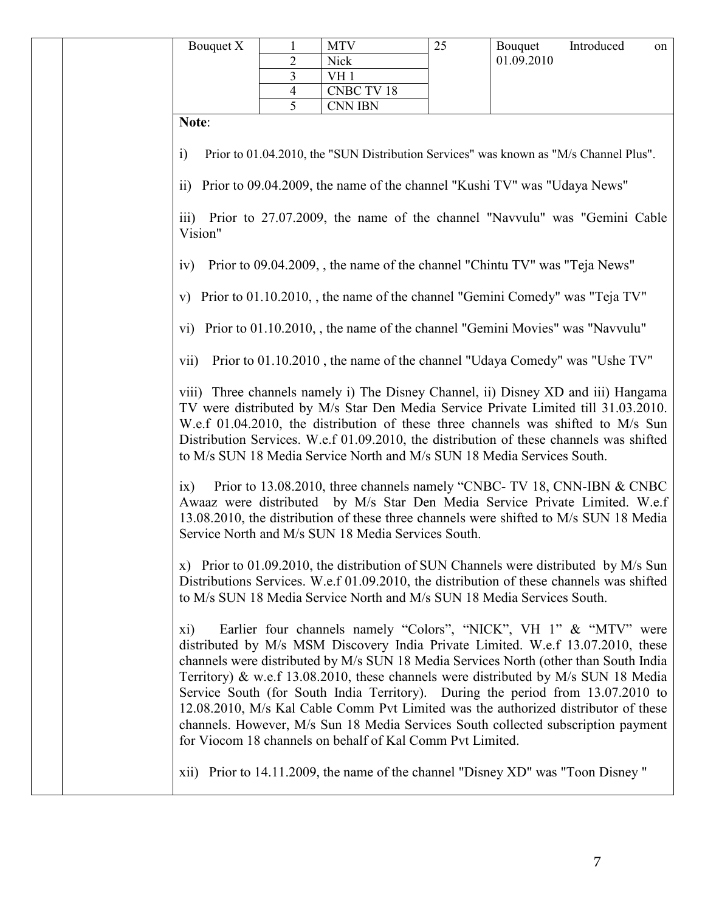|                                                                                |                                                                                                                                                                                                                                                                                                                                                                                                                                   | Bouquet X                                                                                                 | 1                                | <b>MTV</b>                                                                                                                                                                                                                                                                                                                                                                                                                                                                                                                                                                                                                                                    | 25 | Bouquet    | Introduced | on |  |
|--------------------------------------------------------------------------------|-----------------------------------------------------------------------------------------------------------------------------------------------------------------------------------------------------------------------------------------------------------------------------------------------------------------------------------------------------------------------------------------------------------------------------------|-----------------------------------------------------------------------------------------------------------|----------------------------------|---------------------------------------------------------------------------------------------------------------------------------------------------------------------------------------------------------------------------------------------------------------------------------------------------------------------------------------------------------------------------------------------------------------------------------------------------------------------------------------------------------------------------------------------------------------------------------------------------------------------------------------------------------------|----|------------|------------|----|--|
|                                                                                |                                                                                                                                                                                                                                                                                                                                                                                                                                   |                                                                                                           | $\overline{2}$<br>$\overline{3}$ | Nick                                                                                                                                                                                                                                                                                                                                                                                                                                                                                                                                                                                                                                                          |    | 01.09.2010 |            |    |  |
|                                                                                |                                                                                                                                                                                                                                                                                                                                                                                                                                   |                                                                                                           | $\overline{4}$                   | VH <sub>1</sub><br><b>CNBC TV 18</b>                                                                                                                                                                                                                                                                                                                                                                                                                                                                                                                                                                                                                          |    |            |            |    |  |
|                                                                                |                                                                                                                                                                                                                                                                                                                                                                                                                                   |                                                                                                           | 5                                | <b>CNN IBN</b>                                                                                                                                                                                                                                                                                                                                                                                                                                                                                                                                                                                                                                                |    |            |            |    |  |
|                                                                                |                                                                                                                                                                                                                                                                                                                                                                                                                                   | Note:                                                                                                     |                                  |                                                                                                                                                                                                                                                                                                                                                                                                                                                                                                                                                                                                                                                               |    |            |            |    |  |
|                                                                                |                                                                                                                                                                                                                                                                                                                                                                                                                                   | $\ddot{1}$<br>$\overline{11}$                                                                             |                                  | Prior to 01.04.2010, the "SUN Distribution Services" was known as "M/s Channel Plus".<br>Prior to 09.04.2009, the name of the channel "Kushi TV" was "Udaya News"                                                                                                                                                                                                                                                                                                                                                                                                                                                                                             |    |            |            |    |  |
|                                                                                |                                                                                                                                                                                                                                                                                                                                                                                                                                   | Prior to 27.07.2009, the name of the channel "Navvulu" was "Gemini Cable<br>$\overline{111}$ )<br>Vision" |                                  |                                                                                                                                                                                                                                                                                                                                                                                                                                                                                                                                                                                                                                                               |    |            |            |    |  |
|                                                                                | Prior to 09.04.2009, the name of the channel "Chintu TV" was "Teja News"<br>iv)                                                                                                                                                                                                                                                                                                                                                   |                                                                                                           |                                  |                                                                                                                                                                                                                                                                                                                                                                                                                                                                                                                                                                                                                                                               |    |            |            |    |  |
|                                                                                |                                                                                                                                                                                                                                                                                                                                                                                                                                   | V)                                                                                                        |                                  | Prior to 01.10.2010, the name of the channel "Gemini Comedy" was "Teja TV"                                                                                                                                                                                                                                                                                                                                                                                                                                                                                                                                                                                    |    |            |            |    |  |
| vi) Prior to 01.10.2010, the name of the channel "Gemini Movies" was "Navvulu" |                                                                                                                                                                                                                                                                                                                                                                                                                                   |                                                                                                           |                                  |                                                                                                                                                                                                                                                                                                                                                                                                                                                                                                                                                                                                                                                               |    |            |            |    |  |
|                                                                                | Prior to 01.10.2010, the name of the channel "Udaya Comedy" was "Ushe TV"<br>vii)                                                                                                                                                                                                                                                                                                                                                 |                                                                                                           |                                  |                                                                                                                                                                                                                                                                                                                                                                                                                                                                                                                                                                                                                                                               |    |            |            |    |  |
|                                                                                | viii) Three channels namely i) The Disney Channel, ii) Disney XD and iii) Hangama<br>TV were distributed by M/s Star Den Media Service Private Limited till 31.03.2010.<br>W.e.f 01.04.2010, the distribution of these three channels was shifted to M/s Sun<br>Distribution Services. W.e.f 01.09.2010, the distribution of these channels was shifted<br>to M/s SUN 18 Media Service North and M/s SUN 18 Media Services South. |                                                                                                           |                                  |                                                                                                                                                                                                                                                                                                                                                                                                                                                                                                                                                                                                                                                               |    |            |            |    |  |
|                                                                                |                                                                                                                                                                                                                                                                                                                                                                                                                                   | ix)                                                                                                       |                                  | Prior to 13.08.2010, three channels namely "CNBC- TV 18, CNN-IBN & CNBC<br>Awaaz were distributed by M/s Star Den Media Service Private Limited. W.e.f<br>13.08.2010, the distribution of these three channels were shifted to M/s SUN 18 Media<br>Service North and M/s SUN 18 Media Services South.                                                                                                                                                                                                                                                                                                                                                         |    |            |            |    |  |
|                                                                                |                                                                                                                                                                                                                                                                                                                                                                                                                                   |                                                                                                           |                                  | x) Prior to 01.09.2010, the distribution of SUN Channels were distributed by M/s Sun<br>Distributions Services. W.e.f 01.09.2010, the distribution of these channels was shifted<br>to M/s SUN 18 Media Service North and M/s SUN 18 Media Services South.                                                                                                                                                                                                                                                                                                                                                                                                    |    |            |            |    |  |
|                                                                                |                                                                                                                                                                                                                                                                                                                                                                                                                                   | xi)                                                                                                       |                                  | Earlier four channels namely "Colors", "NICK", VH 1" & "MTV" were<br>distributed by M/s MSM Discovery India Private Limited. W.e.f 13.07.2010, these<br>channels were distributed by M/s SUN 18 Media Services North (other than South India<br>Territory) & w.e.f 13.08.2010, these channels were distributed by M/s SUN 18 Media<br>Service South (for South India Territory). During the period from 13.07.2010 to<br>12.08.2010, M/s Kal Cable Comm Pvt Limited was the authorized distributor of these<br>channels. However, M/s Sun 18 Media Services South collected subscription payment<br>for Viocom 18 channels on behalf of Kal Comm Pvt Limited. |    |            |            |    |  |
|                                                                                |                                                                                                                                                                                                                                                                                                                                                                                                                                   |                                                                                                           |                                  | xii) Prior to 14.11.2009, the name of the channel "Disney XD" was "Toon Disney"                                                                                                                                                                                                                                                                                                                                                                                                                                                                                                                                                                               |    |            |            |    |  |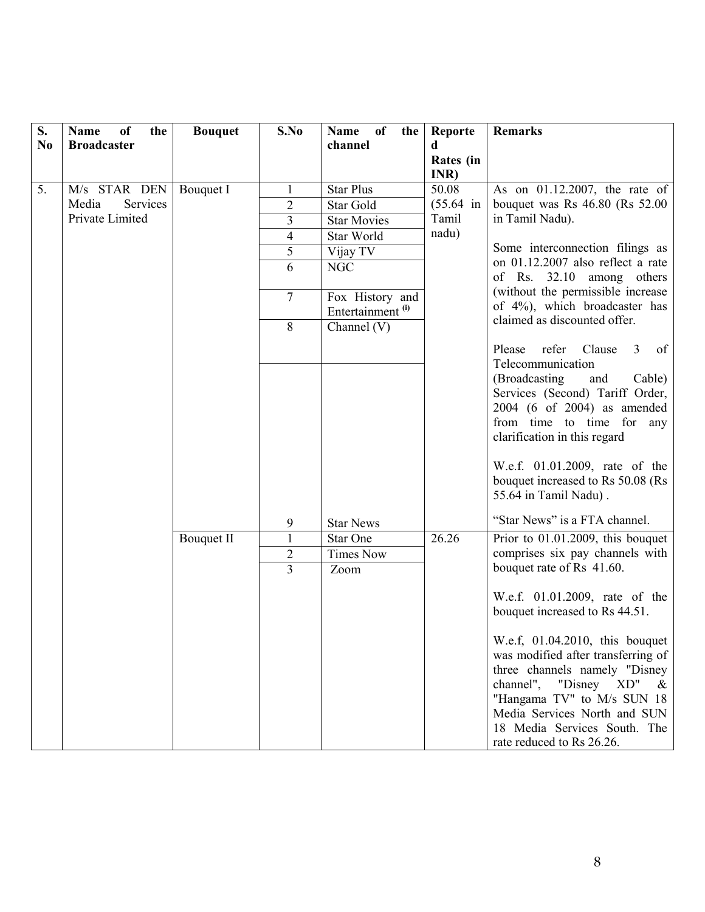| S.             | <b>Name</b><br>of<br>the | <b>Bouquet</b>    | S.No           | Name of<br>the                                  | Reporte           | <b>Remarks</b>                                                                                                                                                                                                                     |
|----------------|--------------------------|-------------------|----------------|-------------------------------------------------|-------------------|------------------------------------------------------------------------------------------------------------------------------------------------------------------------------------------------------------------------------------|
| N <sub>0</sub> | <b>Broadcaster</b>       |                   |                | channel                                         | d                 |                                                                                                                                                                                                                                    |
|                |                          |                   |                |                                                 | Rates (in<br>INR) |                                                                                                                                                                                                                                    |
| 5.             | M/s STAR DEN             | Bouquet I         |                | <b>Star Plus</b>                                | 50.08             | As on $01.12.2007$ , the rate of                                                                                                                                                                                                   |
|                | Media<br>Services        |                   | $\overline{2}$ | Star Gold                                       | $(55.64)$ in      | bouquet was Rs $46.80$ (Rs $52.00$ )                                                                                                                                                                                               |
|                | Private Limited          |                   | 3              | <b>Star Movies</b>                              | Tamil             | in Tamil Nadu).                                                                                                                                                                                                                    |
|                |                          |                   | 4              | Star World                                      | nadu)             |                                                                                                                                                                                                                                    |
|                |                          |                   | 5              | Vijay TV                                        |                   | Some interconnection filings as<br>on 01.12.2007 also reflect a rate                                                                                                                                                               |
|                |                          |                   | 6              | <b>NGC</b>                                      |                   | of Rs. 32.10 among others                                                                                                                                                                                                          |
|                |                          |                   | $\overline{7}$ | Fox History and<br>Entertainment <sup>(i)</sup> |                   | (without the permissible increase<br>of 4%), which broadcaster has                                                                                                                                                                 |
|                |                          |                   | 8              | Channel $(V)$                                   |                   | claimed as discounted offer.                                                                                                                                                                                                       |
|                |                          |                   |                |                                                 |                   | Please<br>refer Clause<br>3 <sup>7</sup><br>of                                                                                                                                                                                     |
|                |                          |                   |                |                                                 |                   | Telecommunication                                                                                                                                                                                                                  |
|                |                          |                   |                |                                                 |                   | (Broadcasting)<br>and<br>Cable)                                                                                                                                                                                                    |
|                |                          |                   |                |                                                 |                   | Services (Second) Tariff Order,                                                                                                                                                                                                    |
|                |                          |                   |                |                                                 |                   | 2004 (6 of 2004) as amended                                                                                                                                                                                                        |
|                |                          |                   |                |                                                 |                   | from time to time for any                                                                                                                                                                                                          |
|                |                          |                   |                |                                                 |                   | clarification in this regard                                                                                                                                                                                                       |
|                |                          |                   |                |                                                 |                   |                                                                                                                                                                                                                                    |
|                |                          |                   |                |                                                 |                   | W.e.f. 01.01.2009, rate of the<br>bouquet increased to Rs 50.08 (Rs                                                                                                                                                                |
|                |                          |                   |                |                                                 |                   | 55.64 in Tamil Nadu).                                                                                                                                                                                                              |
|                |                          |                   |                |                                                 |                   |                                                                                                                                                                                                                                    |
|                |                          |                   | 9              | <b>Star News</b>                                |                   | "Star News" is a FTA channel.                                                                                                                                                                                                      |
|                |                          | <b>Bouquet II</b> | $\mathbf{1}$   | <b>Star One</b>                                 | 26.26             | Prior to 01.01.2009, this bouquet                                                                                                                                                                                                  |
|                |                          |                   | $\overline{2}$ | <b>Times Now</b>                                |                   | comprises six pay channels with                                                                                                                                                                                                    |
|                |                          |                   | $\overline{3}$ | Zoom                                            |                   | bouquet rate of Rs 41.60.                                                                                                                                                                                                          |
|                |                          |                   |                |                                                 |                   | W.e.f. 01.01.2009, rate of the<br>bouquet increased to Rs 44.51.                                                                                                                                                                   |
|                |                          |                   |                |                                                 |                   | W.e.f, 01.04.2010, this bouquet<br>was modified after transferring of<br>three channels namely "Disney<br>channel", "Disney $XD''$ &<br>"Hangama TV" to M/s SUN 18<br>Media Services North and SUN<br>18 Media Services South. The |
|                |                          |                   |                |                                                 |                   | rate reduced to Rs 26.26.                                                                                                                                                                                                          |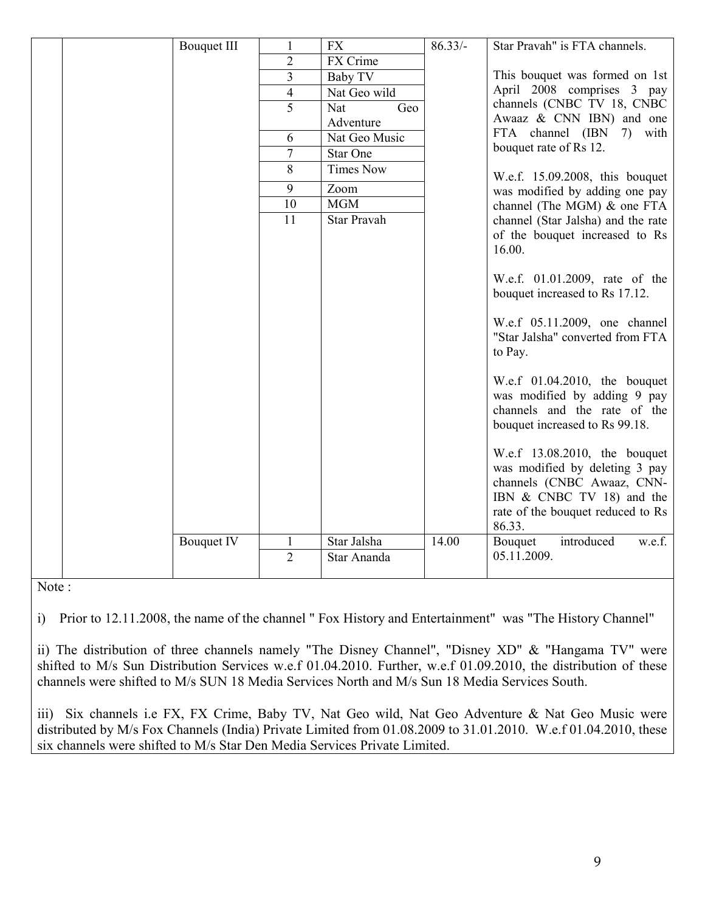|  | <b>Bouquet III</b> |                 | <b>FX</b>        | $86.33/-$ | Star Pravah" is FTA channels.                                   |
|--|--------------------|-----------------|------------------|-----------|-----------------------------------------------------------------|
|  |                    | $\overline{2}$  | FX Crime         |           |                                                                 |
|  |                    | $\overline{3}$  | Baby TV          |           | This bouquet was formed on 1st                                  |
|  |                    | $\overline{4}$  | Nat Geo wild     |           | April 2008 comprises 3 pay                                      |
|  |                    | 5               | Nat<br>Geo       |           | channels (CNBC TV 18, CNBC                                      |
|  |                    |                 | Adventure        |           | Awaaz & CNN IBN) and one                                        |
|  |                    | 6               | Nat Geo Music    |           | FTA channel (IBN 7) with                                        |
|  |                    | 7               | <b>Star One</b>  |           | bouquet rate of Rs 12.                                          |
|  |                    | 8               | <b>Times Now</b> |           | W.e.f. 15.09.2008, this bouquet                                 |
|  |                    | 9               | Zoom             |           | was modified by adding one pay                                  |
|  |                    | 10              | <b>MGM</b>       |           | channel (The MGM) $&$ one FTA                                   |
|  |                    | $\overline{11}$ | Star Pravah      |           | channel (Star Jalsha) and the rate                              |
|  |                    |                 |                  |           | of the bouquet increased to Rs                                  |
|  |                    |                 |                  |           | 16.00.                                                          |
|  |                    |                 |                  |           |                                                                 |
|  |                    |                 |                  |           | W.e.f. 01.01.2009, rate of the                                  |
|  |                    |                 |                  |           | bouquet increased to Rs 17.12.                                  |
|  |                    |                 |                  |           | W.e.f 05.11.2009, one channel                                   |
|  |                    |                 |                  |           | "Star Jalsha" converted from FTA                                |
|  |                    |                 |                  |           | to Pay.                                                         |
|  |                    |                 |                  |           |                                                                 |
|  |                    |                 |                  |           | W.e.f $01.04.2010$ , the bouquet                                |
|  |                    |                 |                  |           | was modified by adding 9 pay                                    |
|  |                    |                 |                  |           | channels and the rate of the                                    |
|  |                    |                 |                  |           | bouquet increased to Rs 99.18.                                  |
|  |                    |                 |                  |           |                                                                 |
|  |                    |                 |                  |           | W.e.f 13.08.2010, the bouquet<br>was modified by deleting 3 pay |
|  |                    |                 |                  |           | channels (CNBC Awaaz, CNN-                                      |
|  |                    |                 |                  |           | IBN $& CNBC TV 18$ and the                                      |
|  |                    |                 |                  |           | rate of the bouquet reduced to Rs                               |
|  |                    |                 |                  |           | 86.33.                                                          |
|  | <b>Bouquet IV</b>  | $\mathbf{1}$    | Star Jalsha      | 14.00     | introduced<br>Bouquet<br>w.e.f.                                 |
|  |                    | $\overline{2}$  | Star Ananda      |           | 05.11.2009.                                                     |
|  |                    |                 |                  |           |                                                                 |

Note :

i) Prior to 12.11.2008, the name of the channel " Fox History and Entertainment" was "The History Channel"

ii) The distribution of three channels namely "The Disney Channel", "Disney XD" & "Hangama TV" were shifted to M/s Sun Distribution Services w.e.f 01.04.2010. Further, w.e.f 01.09.2010, the distribution of these channels were shifted to M/s SUN 18 Media Services North and M/s Sun 18 Media Services South.

iii) Six channels i.e FX, FX Crime, Baby TV, Nat Geo wild, Nat Geo Adventure & Nat Geo Music were distributed by M/s Fox Channels (India) Private Limited from 01.08.2009 to 31.01.2010. W.e.f 01.04.2010, these six channels were shifted to M/s Star Den Media Services Private Limited.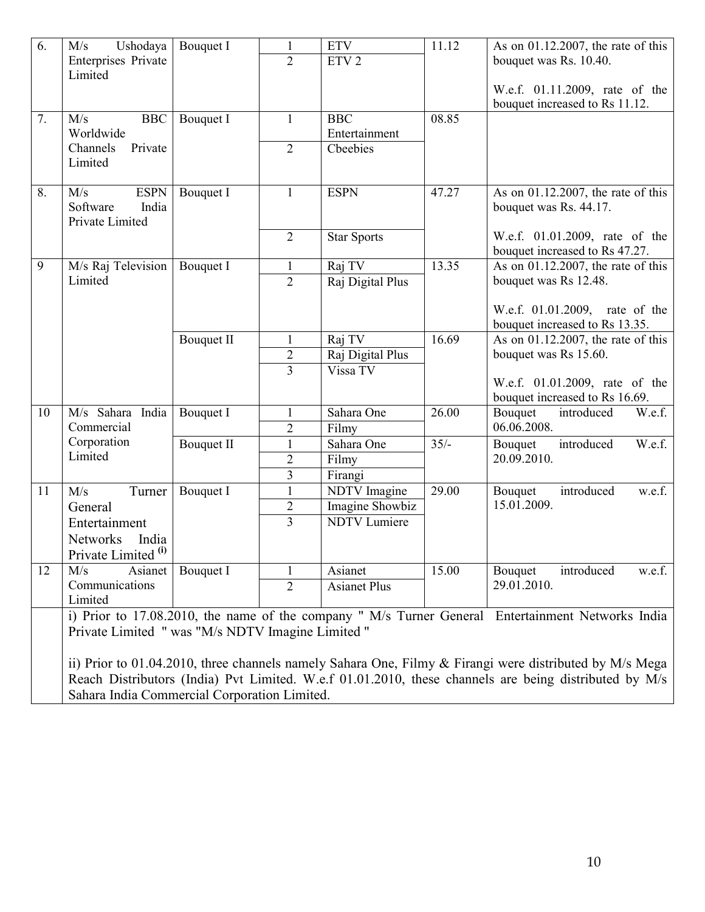| 6. | M/s<br>Ushodaya                                  | Bouquet I         | $\mathbf{1}$                     | <b>ETV</b>                             | 11.12  | As on $01.12.2007$ , the rate of this                                                                   |
|----|--------------------------------------------------|-------------------|----------------------------------|----------------------------------------|--------|---------------------------------------------------------------------------------------------------------|
|    | Enterprises Private<br>Limited                   |                   | $\overline{2}$                   | ETV <sub>2</sub>                       |        | bouquet was Rs. 10.40.                                                                                  |
|    |                                                  |                   |                                  |                                        |        | W.e.f. 01.11.2009, rate of the                                                                          |
|    |                                                  |                   |                                  |                                        |        | bouquet increased to Rs 11.12.                                                                          |
| 7. | <b>BBC</b><br>M/s                                | Bouquet I         | $\mathbf{1}$                     | <b>BBC</b>                             | 08.85  |                                                                                                         |
|    | Worldwide                                        |                   |                                  | Entertainment                          |        |                                                                                                         |
|    | Channels<br>Private                              |                   | $\overline{2}$                   | Cbeebies                               |        |                                                                                                         |
|    | Limited                                          |                   |                                  |                                        |        |                                                                                                         |
| 8. | <b>ESPN</b><br>M/s                               | Bouquet I         | $\mathbf{1}$                     | <b>ESPN</b>                            | 47.27  | As on $01.12.2007$ , the rate of this                                                                   |
|    | Software<br>India                                |                   |                                  |                                        |        | bouquet was Rs. 44.17.                                                                                  |
|    | Private Limited                                  |                   |                                  |                                        |        |                                                                                                         |
|    |                                                  |                   | $\overline{2}$                   | <b>Star Sports</b>                     |        | W.e.f. 01.01.2009, rate of the                                                                          |
|    |                                                  |                   |                                  |                                        |        | bouquet increased to Rs 47.27.                                                                          |
| 9  | M/s Raj Television<br>Limited                    | Bouquet I         | $\mathbf{1}$                     | Raj TV                                 | 13.35  | As on 01.12.2007, the rate of this                                                                      |
|    |                                                  |                   | $\overline{2}$                   | Raj Digital Plus                       |        | bouquet was Rs 12.48.                                                                                   |
|    |                                                  |                   |                                  |                                        |        | W.e.f. 01.01.2009, rate of the                                                                          |
|    |                                                  |                   |                                  |                                        |        | bouquet increased to Rs 13.35.                                                                          |
|    |                                                  | <b>Bouquet II</b> | $\mathbf{1}$                     | Raj TV                                 | 16.69  | As on $01.12.2007$ , the rate of this                                                                   |
|    |                                                  |                   | $\overline{2}$                   | Raj Digital Plus                       |        | bouquet was Rs 15.60.                                                                                   |
|    |                                                  |                   | $\overline{3}$                   | Vissa TV                               |        |                                                                                                         |
|    |                                                  |                   |                                  |                                        |        | W.e.f. 01.01.2009, rate of the                                                                          |
|    |                                                  |                   |                                  |                                        |        | bouquet increased to Rs 16.69.                                                                          |
| 10 | M/s Sahara<br>India                              | Bouquet I         | $\mathbf{1}$                     | Sahara One                             | 26.00  | Bouquet<br>introduced<br>W.e.f.                                                                         |
|    | Commercial<br>Corporation                        |                   | $\overline{2}$                   | Filmy                                  |        | 06.06.2008.                                                                                             |
|    | Limited                                          | <b>Bouquet II</b> | $\mathbf{1}$                     | Sahara One                             | $35/-$ | introduced<br>W.e.f.<br>Bouquet<br>20.09.2010.                                                          |
|    |                                                  |                   | $\overline{2}$                   | Filmy                                  |        |                                                                                                         |
|    |                                                  |                   | 3                                | Firangi                                |        |                                                                                                         |
| 11 | Turner<br>M/s                                    | Bouquet I         | $\mathbf{1}$                     | <b>NDTV</b> Imagine                    | 29.00  | introduced<br>w.e.f.<br>Bouquet<br>15.01.2009.                                                          |
|    | General                                          |                   | $\overline{2}$<br>$\overline{3}$ | Imagine Showbiz<br><b>NDTV</b> Lumiere |        |                                                                                                         |
|    | Entertainment                                    |                   |                                  |                                        |        |                                                                                                         |
|    | Networks<br>India                                |                   |                                  |                                        |        |                                                                                                         |
|    | Private Limited <sup>(i)</sup>                   |                   |                                  |                                        |        |                                                                                                         |
| 12 | M/s<br>Asianet<br>Communications                 | Bouquet I         | $\overline{2}$                   | Asianet<br><b>Asianet Plus</b>         | 15.00  | introduced<br>w.e.f.<br>Bouquet<br>29.01.2010.                                                          |
|    | Limited                                          |                   |                                  |                                        |        |                                                                                                         |
|    |                                                  |                   |                                  |                                        |        | i) Prior to 17.08.2010, the name of the company " M/s Turner General Entertainment Networks India       |
|    | Private Limited " was "M/s NDTV Imagine Limited" |                   |                                  |                                        |        |                                                                                                         |
|    |                                                  |                   |                                  |                                        |        |                                                                                                         |
|    |                                                  |                   |                                  |                                        |        | ii) Prior to 01.04.2010, three channels namely Sahara One, Filmy & Firangi were distributed by M/s Mega |
|    |                                                  |                   |                                  |                                        |        | Reach Distributors (India) Pvt Limited. W.e.f 01.01.2010, these channels are being distributed by M/s   |
|    | Sahara India Commercial Corporation Limited.     |                   |                                  |                                        |        |                                                                                                         |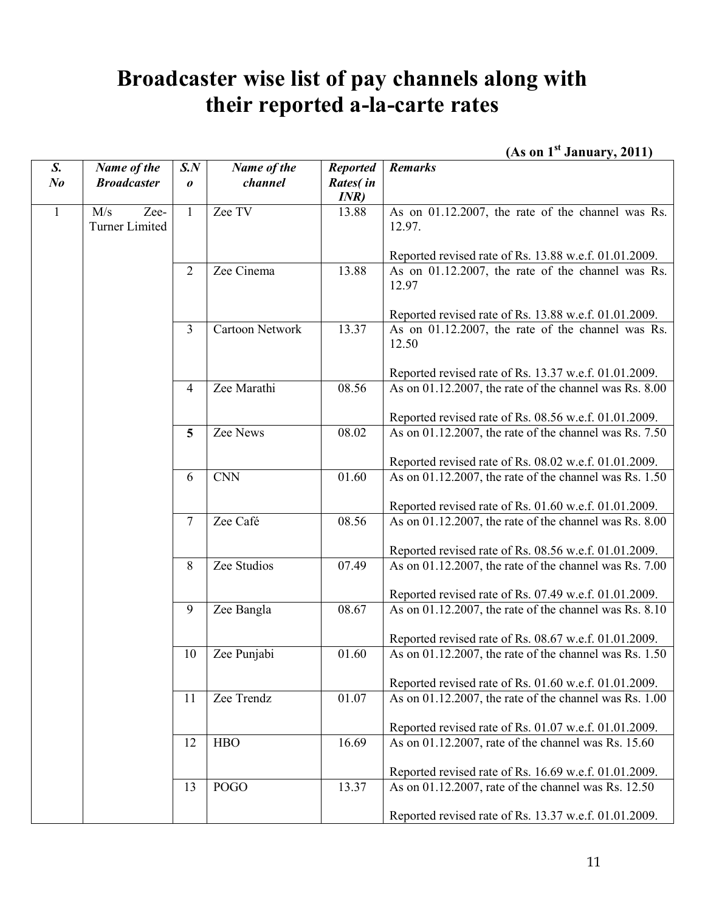## **Broadcaster wise list of pay channels along with their reported a-la-carte rates**

 **(As on 1st January, 2011)** 

| S.             | Name of the                          | S.N                   | Name of the            | <b>Reported</b> | <b>Remarks</b>                                              |
|----------------|--------------------------------------|-----------------------|------------------------|-----------------|-------------------------------------------------------------|
| N <sub>o</sub> | <b>Broadcaster</b>                   | $\boldsymbol{\theta}$ | channel                | Rates(in        |                                                             |
|                |                                      |                       |                        | INR)            |                                                             |
| $\mathbf{1}$   | M/s<br>Zee-<br><b>Turner Limited</b> | $\mathbf{1}$          | Zee TV                 | 13.88           | As on 01.12.2007, the rate of the channel was Rs.<br>12.97. |
|                |                                      |                       |                        |                 | Reported revised rate of Rs. 13.88 w.e.f. 01.01.2009.       |
|                |                                      | $\overline{2}$        | Zee Cinema             | 13.88           | As on 01.12.2007, the rate of the channel was Rs.<br>12.97  |
|                |                                      |                       |                        |                 | Reported revised rate of Rs. 13.88 w.e.f. 01.01.2009.       |
|                |                                      | $\overline{3}$        | <b>Cartoon Network</b> | 13.37           | As on 01.12.2007, the rate of the channel was Rs.<br>12.50  |
|                |                                      |                       |                        |                 | Reported revised rate of Rs. 13.37 w.e.f. 01.01.2009.       |
|                |                                      | 4                     | Zee Marathi            | 08.56           | As on 01.12.2007, the rate of the channel was Rs. 8.00      |
|                |                                      |                       |                        |                 | Reported revised rate of Rs. 08.56 w.e.f. 01.01.2009.       |
|                |                                      | 5                     | Zee News               | 08.02           | As on 01.12.2007, the rate of the channel was Rs. 7.50      |
|                |                                      |                       |                        |                 | Reported revised rate of Rs. 08.02 w.e.f. 01.01.2009.       |
|                |                                      | 6                     | <b>CNN</b>             | 01.60           | As on 01.12.2007, the rate of the channel was Rs. 1.50      |
|                |                                      |                       |                        |                 | Reported revised rate of Rs. 01.60 w.e.f. 01.01.2009.       |
|                |                                      | $\overline{7}$        | Zee Café               | 08.56           | As on 01.12.2007, the rate of the channel was Rs. 8.00      |
|                |                                      |                       |                        |                 | Reported revised rate of Rs. 08.56 w.e.f. 01.01.2009.       |
|                |                                      | 8                     | Zee Studios            | 07.49           | As on 01.12.2007, the rate of the channel was Rs. 7.00      |
|                |                                      |                       |                        |                 | Reported revised rate of Rs. 07.49 w.e.f. 01.01.2009.       |
|                |                                      | 9                     | Zee Bangla             | 08.67           | As on 01.12.2007, the rate of the channel was Rs. 8.10      |
|                |                                      |                       |                        |                 | Reported revised rate of Rs. 08.67 w.e.f. 01.01.2009.       |
|                |                                      | 10                    | Zee Punjabi            | 01.60           | As on 01.12.2007, the rate of the channel was Rs. 1.50      |
|                |                                      |                       |                        |                 | Reported revised rate of Rs. 01.60 w.e.f. 01.01.2009.       |
|                |                                      | 11                    | Zee Trendz             | 01.07           | As on 01.12.2007, the rate of the channel was Rs. 1.00      |
|                |                                      |                       |                        |                 | Reported revised rate of Rs. 01.07 w.e.f. 01.01.2009.       |
|                |                                      | 12                    | <b>HBO</b>             | 16.69           | As on 01.12.2007, rate of the channel was Rs. 15.60         |
|                |                                      |                       |                        |                 | Reported revised rate of Rs. 16.69 w.e.f. 01.01.2009.       |
|                |                                      | 13                    | <b>POGO</b>            | 13.37           | As on 01.12.2007, rate of the channel was Rs. 12.50         |
|                |                                      |                       |                        |                 | Reported revised rate of Rs. 13.37 w.e.f. 01.01.2009.       |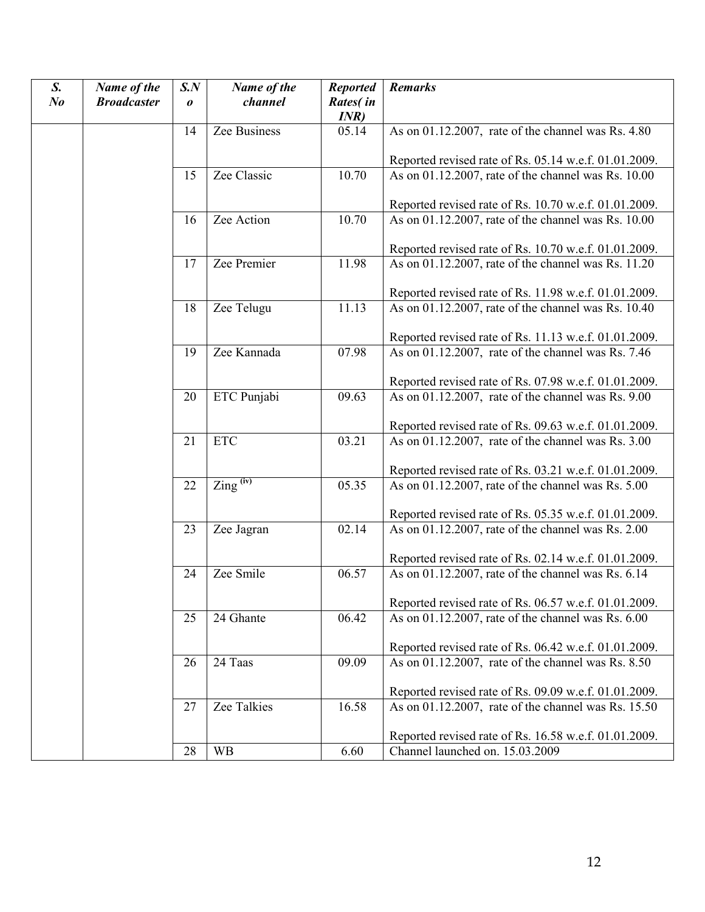| S.<br>$N_{0}$ | Name of the<br><b>Broadcaster</b> | $S_{\cdot}N$<br>$\boldsymbol{o}$ | Name of the<br>channel | <b>Reported</b><br>Rates(in<br>INR) | <b>Remarks</b>                                                                           |
|---------------|-----------------------------------|----------------------------------|------------------------|-------------------------------------|------------------------------------------------------------------------------------------|
|               |                                   | 14                               | Zee Business           | 05.14                               | As on 01.12.2007, rate of the channel was Rs. 4.80                                       |
|               |                                   |                                  |                        |                                     | Reported revised rate of Rs. 05.14 w.e.f. 01.01.2009.                                    |
|               |                                   | 15                               | Zee Classic            | 10.70                               | As on 01.12.2007, rate of the channel was Rs. 10.00                                      |
|               |                                   |                                  |                        |                                     | Reported revised rate of Rs. 10.70 w.e.f. 01.01.2009.                                    |
|               |                                   | 16                               | Zee Action             | 10.70                               | As on 01.12.2007, rate of the channel was Rs. 10.00                                      |
|               |                                   |                                  |                        |                                     | Reported revised rate of Rs. 10.70 w.e.f. 01.01.2009.                                    |
|               |                                   | 17                               | Zee Premier            | 11.98                               | As on 01.12.2007, rate of the channel was Rs. 11.20                                      |
|               |                                   |                                  |                        |                                     | Reported revised rate of Rs. 11.98 w.e.f. 01.01.2009.                                    |
|               |                                   | 18                               | Zee Telugu             | 11.13                               | As on 01.12.2007, rate of the channel was Rs. 10.40                                      |
|               |                                   |                                  |                        |                                     | Reported revised rate of Rs. 11.13 w.e.f. 01.01.2009.                                    |
|               |                                   | 19                               | Zee Kannada            | 07.98                               | As on 01.12.2007, rate of the channel was Rs. 7.46                                       |
|               |                                   |                                  |                        |                                     |                                                                                          |
|               |                                   |                                  |                        |                                     | Reported revised rate of Rs. 07.98 w.e.f. 01.01.2009.                                    |
|               |                                   | 20                               | ETC Punjabi            | 09.63                               | As on $\overline{01}$ .12.2007, rate of the channel was Rs. 9.00                         |
|               |                                   |                                  |                        |                                     | Reported revised rate of Rs. 09.63 w.e.f. 01.01.2009.                                    |
|               |                                   | 21                               | <b>ETC</b>             | 03.21                               | As on 01.12.2007, rate of the channel was Rs. 3.00                                       |
|               |                                   |                                  |                        |                                     |                                                                                          |
|               |                                   |                                  |                        |                                     | Reported revised rate of Rs. 03.21 w.e.f. 01.01.2009.                                    |
|               |                                   | 22                               | $\text{Zing}^{(iv)}$   | 05.35                               | As on 01.12.2007, rate of the channel was Rs. 5.00                                       |
|               |                                   |                                  |                        |                                     | Reported revised rate of Rs. 05.35 w.e.f. 01.01.2009.                                    |
|               |                                   | 23                               | Zee Jagran             | 02.14                               | As on 01.12.2007, rate of the channel was Rs. 2.00                                       |
|               |                                   |                                  |                        |                                     |                                                                                          |
|               |                                   |                                  | Zee Smile              | 06.57                               | Reported revised rate of Rs. 02.14 w.e.f. 01.01.2009.                                    |
|               |                                   | 24                               |                        |                                     | As on 01.12.2007, rate of the channel was Rs. 6.14                                       |
|               |                                   |                                  |                        |                                     | Reported revised rate of Rs. 06.57 w.e.f. 01.01.2009.                                    |
|               |                                   | 25                               | 24 Ghante              | 06.42                               | As on 01.12.2007, rate of the channel was Rs. 6.00                                       |
|               |                                   |                                  |                        |                                     | Reported revised rate of Rs. 06.42 w.e.f. 01.01.2009.                                    |
|               |                                   | 26                               | 24 Taas                | 09.09                               | As on 01.12.2007, rate of the channel was Rs. 8.50                                       |
|               |                                   |                                  |                        |                                     | Reported revised rate of Rs. 09.09 w.e.f. 01.01.2009.                                    |
|               |                                   | 27                               | <b>Zee Talkies</b>     | 16.58                               | As on 01.12.2007, rate of the channel was Rs. 15.50                                      |
|               |                                   |                                  |                        |                                     |                                                                                          |
|               |                                   | 28                               | <b>WB</b>              |                                     | Reported revised rate of Rs. 16.58 w.e.f. 01.01.2009.<br>Channel launched on. 15.03.2009 |
|               |                                   |                                  |                        | 6.60                                |                                                                                          |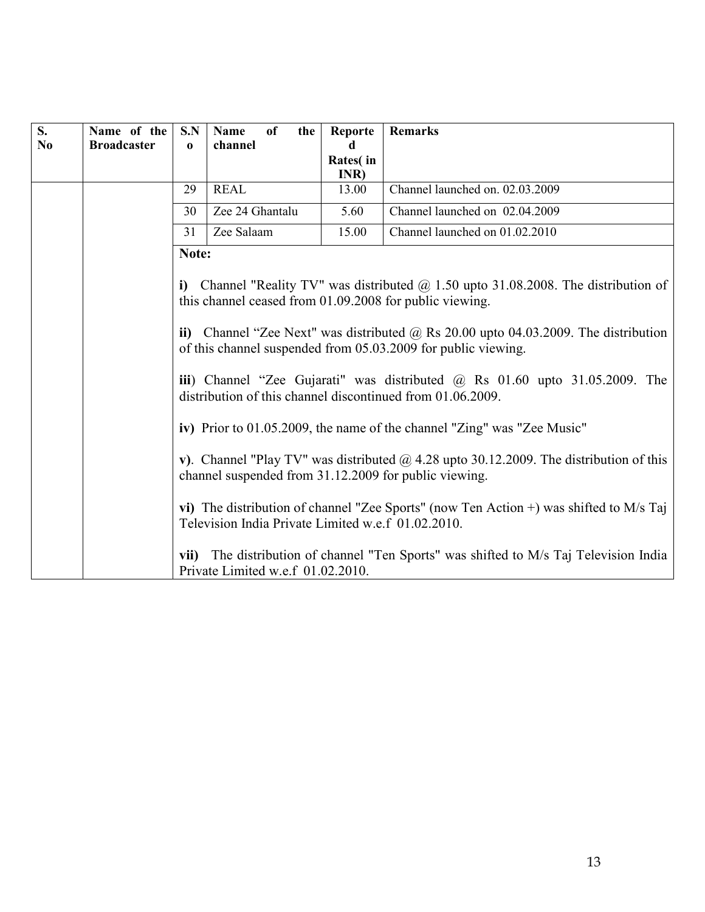| S.             | Name of the        | S.N                                                                                                                                                         | of<br>Name<br>the                                                                                                                                     | Reporte       | <b>Remarks</b>                                                                                |  |  |  |  |
|----------------|--------------------|-------------------------------------------------------------------------------------------------------------------------------------------------------------|-------------------------------------------------------------------------------------------------------------------------------------------------------|---------------|-----------------------------------------------------------------------------------------------|--|--|--|--|
| N <sub>0</sub> | <b>Broadcaster</b> | $\bf{0}$                                                                                                                                                    | channel                                                                                                                                               | d<br>Rates(in |                                                                                               |  |  |  |  |
|                |                    |                                                                                                                                                             |                                                                                                                                                       | INR)          |                                                                                               |  |  |  |  |
|                |                    | 29                                                                                                                                                          | <b>REAL</b>                                                                                                                                           | 13.00         | Channel launched on. 02.03.2009                                                               |  |  |  |  |
|                |                    | 30                                                                                                                                                          | Zee 24 Ghantalu                                                                                                                                       | 5.60          | Channel launched on 02.04.2009                                                                |  |  |  |  |
|                |                    | 31                                                                                                                                                          | Zee Salaam                                                                                                                                            | 15.00         | Channel launched on 01.02.2010                                                                |  |  |  |  |
|                |                    |                                                                                                                                                             | Note:                                                                                                                                                 |               |                                                                                               |  |  |  |  |
|                |                    |                                                                                                                                                             | i) Channel "Reality TV" was distributed $\omega$ 1.50 upto 31.08.2008. The distribution of<br>this channel ceased from 01.09.2008 for public viewing. |               |                                                                                               |  |  |  |  |
|                |                    | ii) Channel "Zee Next" was distributed $\omega$ Rs 20.00 upto 04.03.2009. The distribution<br>of this channel suspended from 05.03.2009 for public viewing. |                                                                                                                                                       |               |                                                                                               |  |  |  |  |
|                |                    | iii) Channel "Zee Gujarati" was distributed $\omega$ Rs 01.60 upto 31.05.2009. The<br>distribution of this channel discontinued from 01.06.2009.            |                                                                                                                                                       |               |                                                                                               |  |  |  |  |
|                |                    |                                                                                                                                                             |                                                                                                                                                       |               | iv) Prior to 01.05.2009, the name of the channel "Zing" was "Zee Music"                       |  |  |  |  |
|                |                    |                                                                                                                                                             | channel suspended from 31.12.2009 for public viewing.                                                                                                 |               | v). Channel "Play TV" was distributed $\omega$ 4.28 upto 30.12.2009. The distribution of this |  |  |  |  |
|                |                    |                                                                                                                                                             | Television India Private Limited w.e.f 01.02.2010.                                                                                                    |               | vi) The distribution of channel "Zee Sports" (now Ten Action $+$ ) was shifted to M/s Taj     |  |  |  |  |
|                |                    | vii)                                                                                                                                                        | Private Limited w.e.f 01.02.2010.                                                                                                                     |               | The distribution of channel "Ten Sports" was shifted to M/s Taj Television India              |  |  |  |  |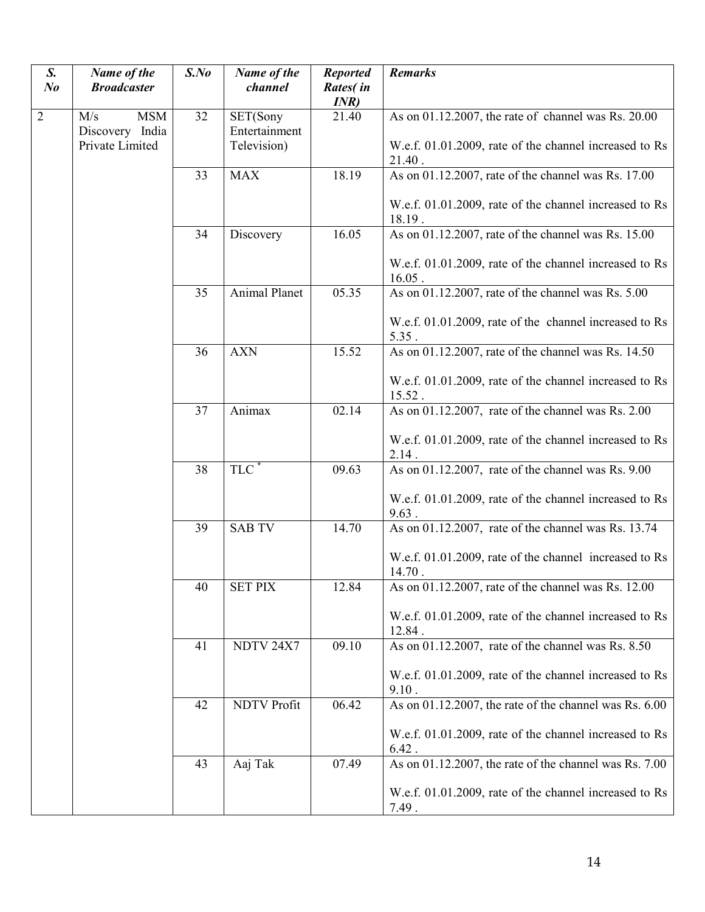| S.<br>N <sub>o</sub> | Name of the<br><b>Broadcaster</b>    | $S$ .No | Name of the<br>channel    | <b>Reported</b><br>Rates(in<br>INR) | <b>Remarks</b>                                                      |
|----------------------|--------------------------------------|---------|---------------------------|-------------------------------------|---------------------------------------------------------------------|
| $\overline{2}$       | <b>MSM</b><br>M/s<br>Discovery India | 32      | SET(Sony<br>Entertainment | 21.40                               | As on 01.12.2007, the rate of channel was Rs. 20.00                 |
|                      | Private Limited                      |         | Television)               |                                     | W.e.f. 01.01.2009, rate of the channel increased to Rs<br>$21.40$ . |
|                      |                                      | 33      | <b>MAX</b>                | 18.19                               | As on 01.12.2007, rate of the channel was Rs. 17.00                 |
|                      |                                      |         |                           |                                     | W.e.f. 01.01.2009, rate of the channel increased to Rs<br>18.19.    |
|                      |                                      | 34      | Discovery                 | 16.05                               | As on 01.12.2007, rate of the channel was Rs. 15.00                 |
|                      |                                      |         |                           |                                     | W.e.f. 01.01.2009, rate of the channel increased to Rs<br>$16.05$ . |
|                      |                                      | 35      | Animal Planet             | 05.35                               | As on 01.12.2007, rate of the channel was Rs. 5.00                  |
|                      |                                      |         |                           |                                     | W.e.f. 01.01.2009, rate of the channel increased to Rs<br>5.35.     |
|                      |                                      | 36      | <b>AXN</b>                | 15.52                               | As on 01.12.2007, rate of the channel was Rs. 14.50                 |
|                      |                                      |         |                           |                                     | W.e.f. 01.01.2009, rate of the channel increased to Rs<br>15.52.    |
|                      |                                      | 37      | Animax                    | 02.14                               | As on 01.12.2007, rate of the channel was Rs. 2.00                  |
|                      |                                      |         |                           |                                     | W.e.f. 01.01.2009, rate of the channel increased to Rs<br>2.14.     |
|                      |                                      | 38      | TLC <sup>'</sup>          | 09.63                               | As on 01.12.2007, rate of the channel was Rs. 9.00                  |
|                      |                                      |         |                           |                                     | W.e.f. 01.01.2009, rate of the channel increased to Rs<br>9.63.     |
|                      |                                      | 39      | <b>SAB TV</b>             | 14.70                               | As on $\overline{01.12.2007}$ , rate of the channel was Rs. 13.74   |
|                      |                                      |         |                           |                                     | W.e.f. 01.01.2009, rate of the channel increased to Rs<br>$14.70$ . |
|                      |                                      | 40      | <b>SET PIX</b>            | 12.84                               | As on 01.12.2007, rate of the channel was Rs. 12.00                 |
|                      |                                      |         |                           |                                     | W.e.f. 01.01.2009, rate of the channel increased to Rs<br>12.84.    |
|                      |                                      | 41      | NDTV 24X7                 | 09.10                               | As on 01.12.2007, rate of the channel was Rs. 8.50                  |
|                      |                                      |         |                           |                                     | W.e.f. 01.01.2009, rate of the channel increased to Rs<br>9.10.     |
|                      |                                      | 42      | <b>NDTV Profit</b>        | 06.42                               | As on 01.12.2007, the rate of the channel was Rs. 6.00              |
|                      |                                      |         |                           |                                     | W.e.f. 01.01.2009, rate of the channel increased to Rs<br>$6.42$ .  |
|                      |                                      | 43      | Aaj Tak                   | 07.49                               | As on 01.12.2007, the rate of the channel was Rs. 7.00              |
|                      |                                      |         |                           |                                     | W.e.f. 01.01.2009, rate of the channel increased to Rs<br>7.49.     |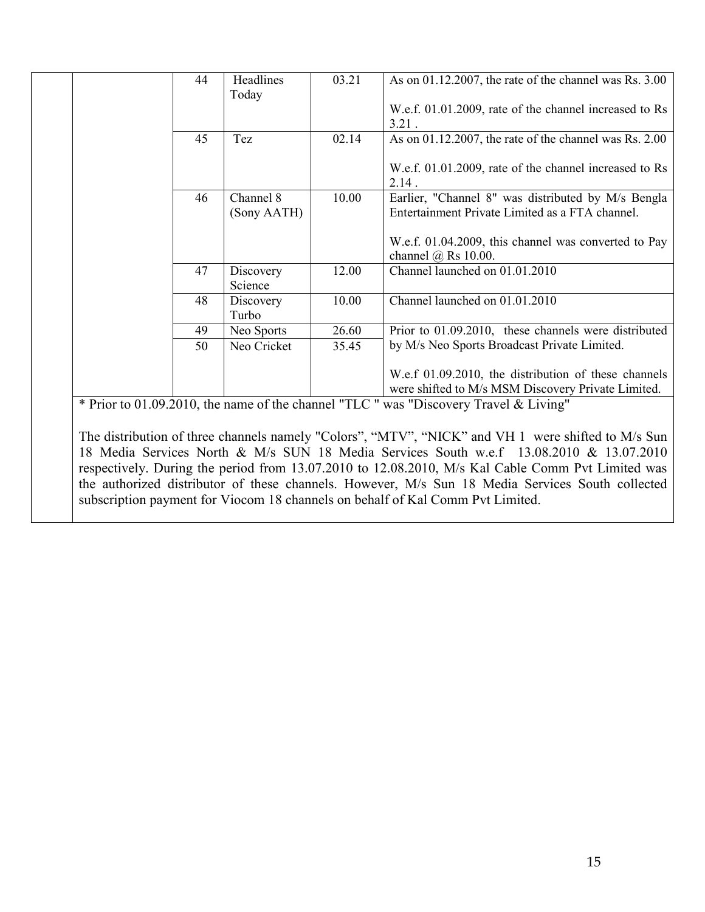| 44 | Headlines                | 03.21 | As on $01.12.2007$ , the rate of the channel was Rs. $3.00$                                                |
|----|--------------------------|-------|------------------------------------------------------------------------------------------------------------|
|    | Today                    |       |                                                                                                            |
|    |                          |       | W.e.f. 01.01.2009, rate of the channel increased to Rs<br>$3.21$ .                                         |
| 45 | Tez                      | 02.14 | As on $01.12.2007$ , the rate of the channel was Rs. $2.00$                                                |
|    |                          |       | W.e.f. 01.01.2009, rate of the channel increased to Rs<br>2.14.                                            |
| 46 | Channel 8<br>(Sony AATH) | 10.00 | Earlier, "Channel 8" was distributed by M/s Bengla<br>Entertainment Private Limited as a FTA channel.      |
|    |                          |       | W.e.f. 01.04.2009, this channel was converted to Pay<br>channel $\omega$ Rs 10.00.                         |
| 47 | Discovery<br>Science     | 12.00 | Channel launched on 01.01.2010                                                                             |
| 48 | Discovery<br>Turbo       | 10.00 | Channel launched on 01.01.2010                                                                             |
| 49 | Neo Sports               | 26.60 | Prior to 01.09.2010, these channels were distributed                                                       |
| 50 | Neo Cricket              | 35.45 | by M/s Neo Sports Broadcast Private Limited.                                                               |
|    |                          |       | W.e.f 01.09.2010, the distribution of these channels<br>were shifted to M/s MSM Discovery Private Limited. |

The distribution of three channels namely "Colors", "MTV", "NICK" and VH 1 were shifted to M/s Sun 18 Media Services North & M/s SUN 18 Media Services South w.e.f 13.08.2010 & 13.07.2010 respectively. During the period from 13.07.2010 to 12.08.2010, M/s Kal Cable Comm Pvt Limited was the authorized distributor of these channels. However, M/s Sun 18 Media Services South collected subscription payment for Viocom 18 channels on behalf of Kal Comm Pvt Limited.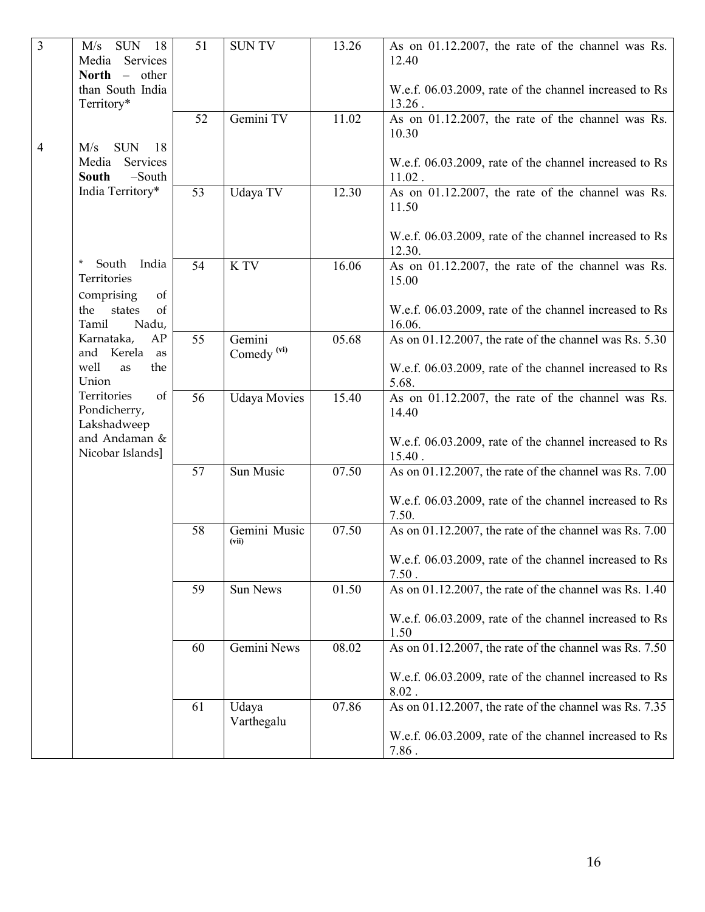| $\mathfrak{Z}$ | M/s<br><b>SUN</b><br>- 18<br>Services<br>Media<br>North $-$<br>other | 51 | <b>SUNTV</b>                     | 13.26 | As on 01.12.2007, the rate of the channel was Rs.<br>12.40          |
|----------------|----------------------------------------------------------------------|----|----------------------------------|-------|---------------------------------------------------------------------|
|                | than South India<br>Territory*                                       |    |                                  |       | W.e.f. 06.03.2009, rate of the channel increased to Rs<br>$13.26$ . |
|                |                                                                      | 52 | Gemini TV                        | 11.02 | As on 01.12.2007, the rate of the channel was Rs.<br>10.30          |
| $\overline{4}$ | <b>SUN</b><br>M/s<br>18<br>Media<br>Services<br>$-South$<br>South    |    |                                  |       | W.e.f. 06.03.2009, rate of the channel increased to Rs<br>$11.02$ . |
|                | India Territory*                                                     | 53 | Udaya TV                         | 12.30 | As on 01.12.2007, the rate of the channel was Rs.<br>11.50          |
|                |                                                                      |    |                                  |       | W.e.f. 06.03.2009, rate of the channel increased to Rs<br>12.30.    |
|                | $\ast$<br>South<br>India<br>Territories<br>Comprising<br>of          | 54 | K TV                             | 16.06 | As on 01.12.2007, the rate of the channel was Rs.<br>15.00          |
|                | the<br>states<br>of<br>Tamil<br>Nadu,                                |    |                                  |       | W.e.f. 06.03.2009, rate of the channel increased to Rs<br>16.06.    |
|                | Karnataka,<br>AP<br>and Kerela<br>as                                 | 55 | Gemini<br>Comedy <sup>(vi)</sup> | 05.68 | As on 01.12.2007, the rate of the channel was Rs. 5.30              |
|                | well<br>the<br>as<br>Union                                           |    |                                  |       | W.e.f. 06.03.2009, rate of the channel increased to Rs<br>5.68.     |
|                | Territories<br>of<br>Pondicherry,<br>Lakshadweep                     | 56 | <b>Udaya Movies</b>              | 15.40 | As on 01.12.2007, the rate of the channel was Rs.<br>14.40          |
|                | and Andaman &<br>Nicobar Islands]                                    |    |                                  |       | W.e.f. 06.03.2009, rate of the channel increased to Rs<br>$15.40$ . |
|                |                                                                      | 57 | Sun Music                        | 07.50 | As on 01.12.2007, the rate of the channel was Rs. 7.00              |
|                |                                                                      |    |                                  |       | W.e.f. 06.03.2009, rate of the channel increased to Rs<br>7.50.     |
|                |                                                                      | 58 | Gemini Music<br>(vii)            | 07.50 | As on 01.12.2007, the rate of the channel was Rs. $7.00$            |
|                |                                                                      |    |                                  |       | W.e.f. 06.03.2009, rate of the channel increased to Rs<br>7.50.     |
|                |                                                                      | 59 | Sun News                         | 01.50 | As on 01.12.2007, the rate of the channel was Rs. 1.40              |
|                |                                                                      |    |                                  |       | W.e.f. 06.03.2009, rate of the channel increased to Rs<br>1.50      |
|                |                                                                      | 60 | Gemini News                      | 08.02 | As on 01.12.2007, the rate of the channel was Rs. 7.50              |
|                |                                                                      |    |                                  |       | W.e.f. 06.03.2009, rate of the channel increased to Rs<br>$8.02$ .  |
|                |                                                                      | 61 | Udaya<br>Varthegalu              | 07.86 | As on 01.12.2007, the rate of the channel was Rs. 7.35              |
|                |                                                                      |    |                                  |       | W.e.f. 06.03.2009, rate of the channel increased to Rs<br>7.86.     |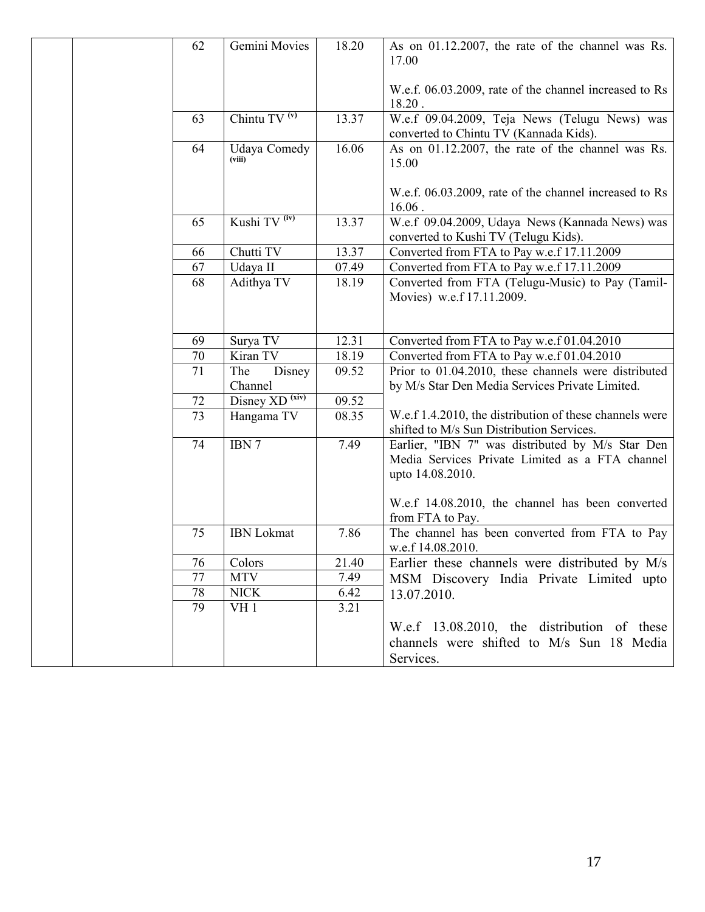|  | 62              | Gemini Movies              | 18.20 | As on 01.12.2007, the rate of the channel was Rs.<br>17.00                                                              |
|--|-----------------|----------------------------|-------|-------------------------------------------------------------------------------------------------------------------------|
|  |                 |                            |       | W.e.f. 06.03.2009, rate of the channel increased to Rs<br>18.20.                                                        |
|  | 63              | Chintu $TV(v)$             | 13.37 | W.e.f 09.04.2009, Teja News (Telugu News) was<br>converted to Chintu TV (Kannada Kids).                                 |
|  | 64              | Udaya Comedy<br>(viii)     | 16.06 | As on 01.12.2007, the rate of the channel was Rs.<br>15.00                                                              |
|  |                 |                            |       | W.e.f. 06.03.2009, rate of the channel increased to Rs<br>$16.06$ .                                                     |
|  | 65              | Kushi TV <sup>(iv)</sup>   | 13.37 | W.e.f 09.04.2009, Udaya News (Kannada News) was<br>converted to Kushi TV (Telugu Kids).                                 |
|  | 66              | Chutti TV                  | 13.37 | Converted from FTA to Pay w.e.f 17.11.2009                                                                              |
|  | 67              | Udaya II                   | 07.49 | Converted from FTA to Pay w.e.f 17.11.2009                                                                              |
|  | 68              | Adithya TV                 | 18.19 | Converted from FTA (Telugu-Music) to Pay (Tamil-<br>Movies) w.e.f 17.11.2009.                                           |
|  |                 |                            |       |                                                                                                                         |
|  | 69              | Surya TV                   | 12.31 | Converted from FTA to Pay w.e.f 01.04.2010                                                                              |
|  | 70              | Kiran TV                   | 18.19 | Converted from FTA to Pay w.e.f 01.04.2010                                                                              |
|  | 71              | The<br>Disney<br>Channel   | 09.52 | Prior to 01.04.2010, these channels were distributed<br>by M/s Star Den Media Services Private Limited.                 |
|  | 72              | Disney XD <sup>(xiv)</sup> | 09.52 |                                                                                                                         |
|  | $\overline{73}$ | Hangama TV                 | 08.35 | W.e.f 1.4.2010, the distribution of these channels were                                                                 |
|  |                 |                            |       | shifted to M/s Sun Distribution Services.                                                                               |
|  | 74              | IBN 7                      | 7.49  | Earlier, "IBN 7" was distributed by M/s Star Den<br>Media Services Private Limited as a FTA channel<br>upto 14.08.2010. |
|  |                 |                            |       | W.e.f 14.08.2010, the channel has been converted<br>from FTA to Pay.                                                    |
|  | 75              | <b>IBN</b> Lokmat          | 7.86  | The channel has been converted from FTA to Pay<br>w.e.f 14.08.2010.                                                     |
|  | 76              | Colors                     | 21.40 | Earlier these channels were distributed by M/s                                                                          |
|  | 77              | <b>MTV</b>                 | 7.49  | MSM Discovery India Private Limited upto                                                                                |
|  | 78              | <b>NICK</b>                | 6.42  | 13.07.2010.                                                                                                             |
|  | 79              | VH <sub>1</sub>            | 3.21  |                                                                                                                         |
|  |                 |                            |       | W.e.f 13.08.2010, the distribution of these<br>channels were shifted to M/s Sun 18 Media<br>Services.                   |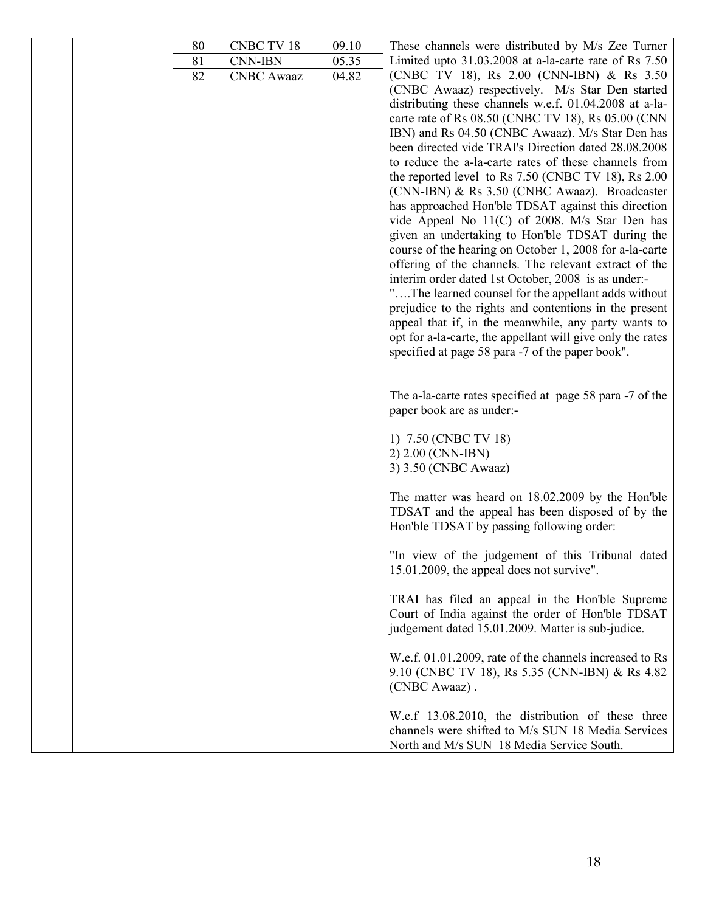|  | 80 | CNBC TV 18        | 09.10 | These channels were distributed by M/s Zee Turner          |
|--|----|-------------------|-------|------------------------------------------------------------|
|  | 81 | <b>CNN-IBN</b>    | 05.35 | Limited upto $31.03.2008$ at a-la-carte rate of Rs $7.50$  |
|  | 82 | <b>CNBC</b> Awaaz | 04.82 | (CNBC TV 18), Rs 2.00 (CNN-IBN) & Rs 3.50                  |
|  |    |                   |       | (CNBC Awaaz) respectively. M/s Star Den started            |
|  |    |                   |       | distributing these channels w.e.f. 01.04.2008 at a-la-     |
|  |    |                   |       | carte rate of Rs 08.50 (CNBC TV 18), Rs 05.00 (CNN)        |
|  |    |                   |       | IBN) and Rs 04.50 (CNBC Awaaz). M/s Star Den has           |
|  |    |                   |       | been directed vide TRAI's Direction dated 28.08.2008       |
|  |    |                   |       | to reduce the a-la-carte rates of these channels from      |
|  |    |                   |       | the reported level to Rs 7.50 (CNBC TV 18), Rs 2.00        |
|  |    |                   |       | (CNN-IBN) & Rs 3.50 (CNBC Awaaz). Broadcaster              |
|  |    |                   |       |                                                            |
|  |    |                   |       | has approached Hon'ble TDSAT against this direction        |
|  |    |                   |       | vide Appeal No 11(C) of 2008. M/s Star Den has             |
|  |    |                   |       | given an undertaking to Hon'ble TDSAT during the           |
|  |    |                   |       | course of the hearing on October 1, 2008 for a-la-carte    |
|  |    |                   |       | offering of the channels. The relevant extract of the      |
|  |    |                   |       | interim order dated 1st October, 2008 is as under:-        |
|  |    |                   |       | "The learned counsel for the appellant adds without        |
|  |    |                   |       | prejudice to the rights and contentions in the present     |
|  |    |                   |       | appeal that if, in the meanwhile, any party wants to       |
|  |    |                   |       | opt for a-la-carte, the appellant will give only the rates |
|  |    |                   |       | specified at page 58 para -7 of the paper book".           |
|  |    |                   |       |                                                            |
|  |    |                   |       |                                                            |
|  |    |                   |       | The a-la-carte rates specified at page 58 para -7 of the   |
|  |    |                   |       | paper book are as under:-                                  |
|  |    |                   |       |                                                            |
|  |    |                   |       | 1) 7.50 (CNBC TV 18)                                       |
|  |    |                   |       | 2) 2.00 (CNN-IBN)                                          |
|  |    |                   |       | 3) 3.50 (CNBC Awaaz)                                       |
|  |    |                   |       | The matter was heard on 18.02.2009 by the Hon'ble          |
|  |    |                   |       | TDSAT and the appeal has been disposed of by the           |
|  |    |                   |       | Hon'ble TDSAT by passing following order:                  |
|  |    |                   |       |                                                            |
|  |    |                   |       | "In view of the judgement of this Tribunal dated           |
|  |    |                   |       | 15.01.2009, the appeal does not survive".                  |
|  |    |                   |       |                                                            |
|  |    |                   |       | TRAI has filed an appeal in the Hon'ble Supreme            |
|  |    |                   |       | Court of India against the order of Hon'ble TDSAT          |
|  |    |                   |       | judgement dated 15.01.2009. Matter is sub-judice.          |
|  |    |                   |       |                                                            |
|  |    |                   |       | W.e.f. 01.01.2009, rate of the channels increased to Rs    |
|  |    |                   |       | 9.10 (CNBC TV 18), Rs 5.35 (CNN-IBN) & Rs 4.82             |
|  |    |                   |       | (CNBC Awaaz).                                              |
|  |    |                   |       |                                                            |
|  |    |                   |       | W.e.f 13.08.2010, the distribution of these three          |
|  |    |                   |       | channels were shifted to M/s SUN 18 Media Services         |
|  |    |                   |       | North and M/s SUN 18 Media Service South.                  |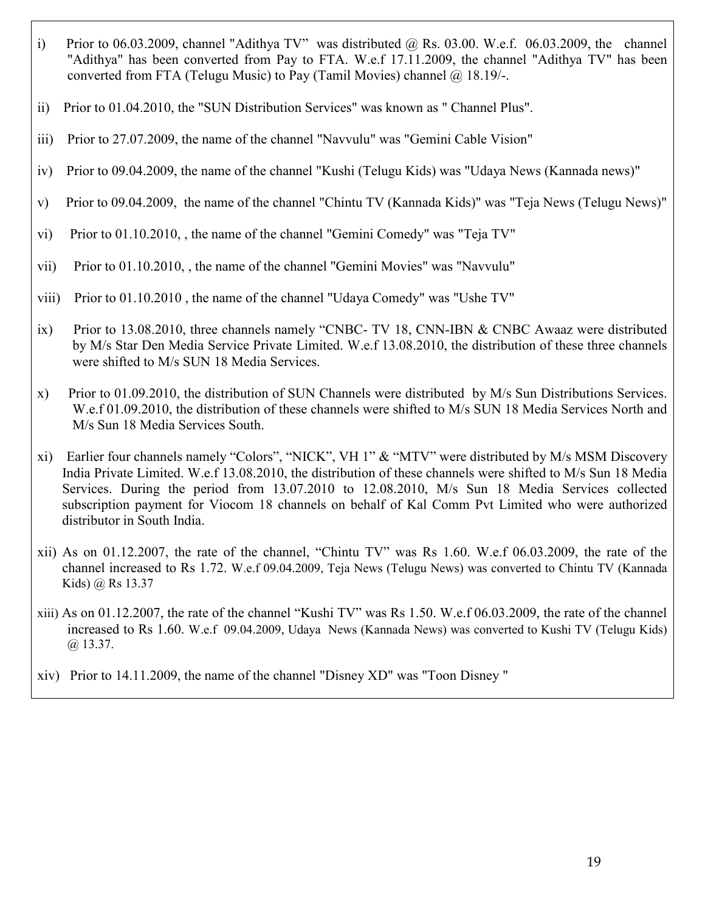- i) Prior to 06.03.2009, channel "Adithya TV" was distributed @ Rs. 03.00. W.e.f. 06.03.2009, the channel "Adithya" has been converted from Pay to FTA. W.e.f 17.11.2009, the channel "Adithya TV" has been converted from FTA (Telugu Music) to Pay (Tamil Movies) channel  $\omega$  18.19/-.
- ii) Prior to 01.04.2010, the "SUN Distribution Services" was known as " Channel Plus".
- iii) Prior to 27.07.2009, the name of the channel "Navvulu" was "Gemini Cable Vision"
- iv) Prior to 09.04.2009, the name of the channel "Kushi (Telugu Kids) was "Udaya News (Kannada news)"
- v) Prior to 09.04.2009, the name of the channel "Chintu TV (Kannada Kids)" was "Teja News (Telugu News)"
- vi) Prior to 01.10.2010, , the name of the channel "Gemini Comedy" was "Teja TV"
- vii) Prior to 01.10.2010, , the name of the channel "Gemini Movies" was "Navvulu"
- viii) Prior to 01.10.2010 , the name of the channel "Udaya Comedy" was "Ushe TV"
- ix) Prior to 13.08.2010, three channels namely "CNBC- TV 18, CNN-IBN & CNBC Awaaz were distributed by M/s Star Den Media Service Private Limited. W.e.f 13.08.2010, the distribution of these three channels were shifted to M/s SUN 18 Media Services.
- x) Prior to 01.09.2010, the distribution of SUN Channels were distributed by M/s Sun Distributions Services. W.e.f 01.09.2010, the distribution of these channels were shifted to M/s SUN 18 Media Services North and M/s Sun 18 Media Services South.
- xi) Earlier four channels namely "Colors", "NICK", VH 1" & "MTV" were distributed by M/s MSM Discovery India Private Limited. W.e.f 13.08.2010, the distribution of these channels were shifted to M/s Sun 18 Media Services. During the period from 13.07.2010 to 12.08.2010, M/s Sun 18 Media Services collected subscription payment for Viocom 18 channels on behalf of Kal Comm Pvt Limited who were authorized distributor in South India.
- xii) As on 01.12.2007, the rate of the channel, "Chintu TV" was Rs 1.60. W.e.f 06.03.2009, the rate of the channel increased to Rs 1.72. W.e.f 09.04.2009, Teja News (Telugu News) was converted to Chintu TV (Kannada Kids) @ Rs 13.37
- xiii) As on 01.12.2007, the rate of the channel "Kushi TV" was Rs 1.50. W.e.f 06.03.2009, the rate of the channel increased to Rs 1.60. W.e.f 09.04.2009, Udaya News (Kannada News) was converted to Kushi TV (Telugu Kids)  $(a)$  13.37.
- xiv) Prior to 14.11.2009, the name of the channel "Disney XD" was "Toon Disney "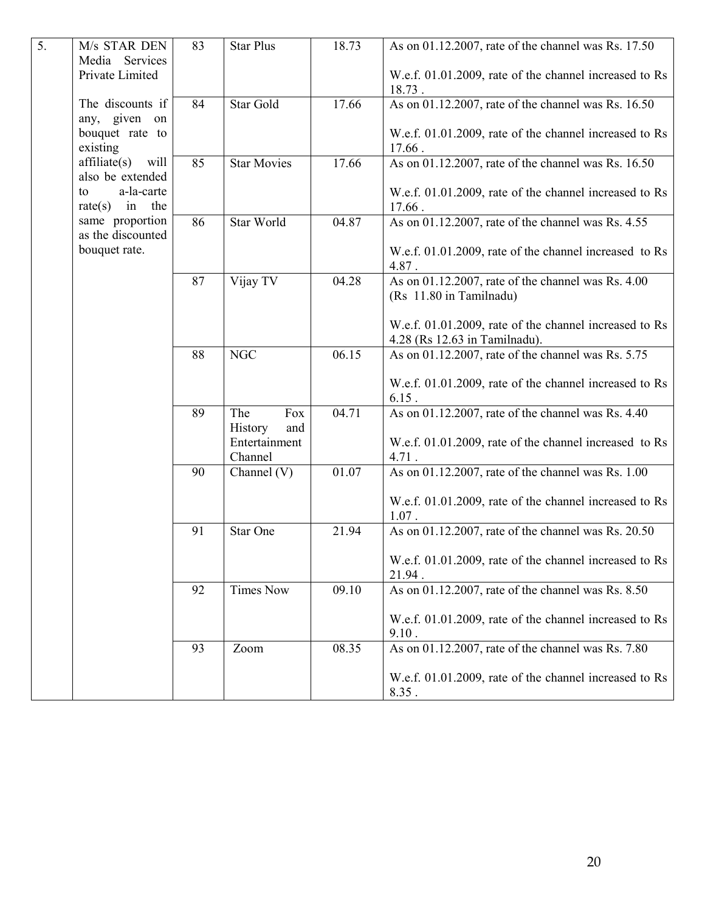| 5. | M/s STAR DEN<br>Media<br>Services<br>Private Limited | 83 | <b>Star Plus</b>             | 18.73 | As on 01.12.2007, rate of the channel was Rs. 17.50<br>W.e.f. 01.01.2009, rate of the channel increased to Rs<br>18.73. |
|----|------------------------------------------------------|----|------------------------------|-------|-------------------------------------------------------------------------------------------------------------------------|
|    | The discounts if<br>any, given on<br>bouquet rate to | 84 | Star Gold                    | 17.66 | As on 01.12.2007, rate of the channel was Rs. 16.50<br>W.e.f. 01.01.2009, rate of the channel increased to Rs           |
|    | existing                                             |    |                              |       | 17.66.                                                                                                                  |
|    | affiliate(s) will<br>also be extended                | 85 | <b>Star Movies</b>           | 17.66 | As on 01.12.2007, rate of the channel was Rs. 16.50                                                                     |
|    | a-la-carte<br>to<br>in<br>the<br>rate(s)             |    |                              |       | W.e.f. 01.01.2009, rate of the channel increased to Rs<br>17.66.                                                        |
|    | same proportion<br>as the discounted                 | 86 | Star World                   | 04.87 | As on 01.12.2007, rate of the channel was Rs. 4.55                                                                      |
|    | bouquet rate.                                        |    |                              |       | W.e.f. 01.01.2009, rate of the channel increased to Rs<br>4.87.                                                         |
|    |                                                      | 87 | Vijay TV                     | 04.28 | As on 01.12.2007, rate of the channel was Rs. 4.00<br>(Rs 11.80 in Tamilnadu)                                           |
|    |                                                      |    |                              |       | W.e.f. 01.01.2009, rate of the channel increased to Rs                                                                  |
|    |                                                      |    |                              |       | 4.28 (Rs 12.63 in Tamilnadu).                                                                                           |
|    |                                                      | 88 | NGC                          | 06.15 | As on 01.12.2007, rate of the channel was Rs. 5.75                                                                      |
|    |                                                      |    |                              |       | W.e.f. 01.01.2009, rate of the channel increased to Rs<br>$6.15$ .                                                      |
|    |                                                      | 89 | The<br>Fox<br>History<br>and | 04.71 | As on 01.12.2007, rate of the channel was Rs. 4.40                                                                      |
|    |                                                      |    | Entertainment<br>Channel     |       | W.e.f. 01.01.2009, rate of the channel increased to Rs<br>4.71.                                                         |
|    |                                                      | 90 | Channel (V)                  | 01.07 | As on 01.12.2007, rate of the channel was Rs. 1.00                                                                      |
|    |                                                      |    |                              |       | W.e.f. 01.01.2009, rate of the channel increased to Rs<br>$1.07$ .                                                      |
|    |                                                      | 91 | Star One                     | 21.94 | As on 01.12.2007, rate of the channel was Rs. 20.50                                                                     |
|    |                                                      |    |                              |       | W.e.f. 01.01.2009, rate of the channel increased to Rs<br>21.94.                                                        |
|    |                                                      | 92 | <b>Times Now</b>             | 09.10 | As on 01.12.2007, rate of the channel was Rs. 8.50                                                                      |
|    |                                                      |    |                              |       | W.e.f. 01.01.2009, rate of the channel increased to Rs<br>9.10.                                                         |
|    |                                                      | 93 | Zoom                         | 08.35 | As on 01.12.2007, rate of the channel was Rs. 7.80                                                                      |
|    |                                                      |    |                              |       | W.e.f. 01.01.2009, rate of the channel increased to Rs<br>8.35.                                                         |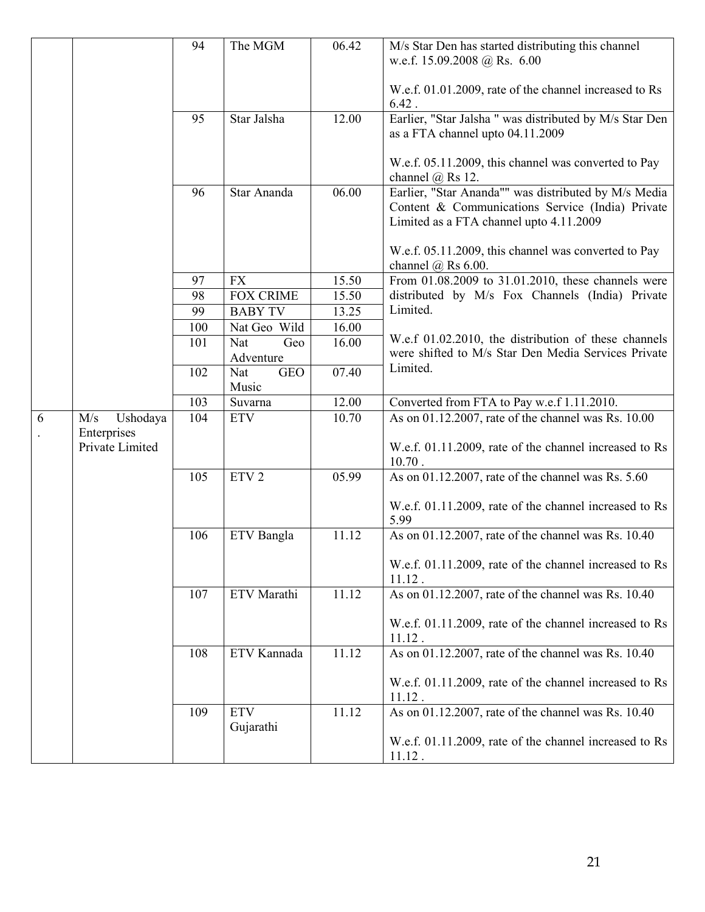|            |                                | 94  | The MGM                 | 06.42 | M/s Star Den has started distributing this channel<br>w.e.f. 15.09.2008 @ Rs. 6.00                                                                  |
|------------|--------------------------------|-----|-------------------------|-------|-----------------------------------------------------------------------------------------------------------------------------------------------------|
|            |                                |     |                         |       |                                                                                                                                                     |
|            |                                |     |                         |       | W.e.f. 01.01.2009, rate of the channel increased to Rs<br>6.42.                                                                                     |
|            |                                | 95  | Star Jalsha             | 12.00 | Earlier, "Star Jalsha " was distributed by M/s Star Den<br>as a FTA channel upto 04.11.2009                                                         |
|            |                                |     |                         |       | W.e.f. 05.11.2009, this channel was converted to Pay<br>channel $(a)$ Rs 12.                                                                        |
|            |                                | 96  | Star Ananda             | 06.00 | Earlier, "Star Ananda"" was distributed by M/s Media<br>Content & Communications Service (India) Private<br>Limited as a FTA channel upto 4.11.2009 |
|            |                                |     |                         |       | W.e.f. 05.11.2009, this channel was converted to Pay<br>channel $\omega$ Rs 6.00.                                                                   |
|            |                                | 97  | <b>FX</b>               | 15.50 | From 01.08.2009 to 31.01.2010, these channels were                                                                                                  |
|            |                                | 98  | <b>FOX CRIME</b>        | 15.50 | distributed by M/s Fox Channels (India) Private                                                                                                     |
|            |                                | 99  | <b>BABY TV</b>          | 13.25 | Limited.                                                                                                                                            |
|            |                                | 100 | Nat Geo Wild            | 16.00 |                                                                                                                                                     |
|            |                                | 101 | Geo<br>Nat<br>Adventure | 16.00 | W.e.f 01.02.2010, the distribution of these channels<br>were shifted to M/s Star Den Media Services Private                                         |
|            |                                | 102 | <b>GEO</b><br>Nat       | 07.40 | Limited.                                                                                                                                            |
|            |                                |     | Music                   |       |                                                                                                                                                     |
|            |                                | 103 | Suvarna                 | 12.00 | Converted from FTA to Pay w.e.f 1.11.2010.                                                                                                          |
| $\sqrt{6}$ | M/s<br>Ushodaya<br>Enterprises | 104 | <b>ETV</b>              | 10.70 | As on 01.12.2007, rate of the channel was Rs. 10.00                                                                                                 |
|            | Private Limited                |     |                         |       | W.e.f. 01.11.2009, rate of the channel increased to Rs<br>$10.70$ .                                                                                 |
|            |                                | 105 | ETV <sub>2</sub>        | 05.99 | As on 01.12.2007, rate of the channel was Rs. 5.60                                                                                                  |
|            |                                |     |                         |       | W.e.f. 01.11.2009, rate of the channel increased to Rs<br>5.99                                                                                      |
|            |                                | 106 | ETV Bangla              | 11.12 | As on 01.12.2007, rate of the channel was Rs. 10.40                                                                                                 |
|            |                                |     |                         |       | W.e.f. 01.11.2009, rate of the channel increased to Rs<br>$11.12$ .                                                                                 |
|            |                                | 107 | ETV Marathi             | 11.12 | As on 01.12.2007, rate of the channel was Rs. 10.40                                                                                                 |
|            |                                |     |                         |       | W.e.f. 01.11.2009, rate of the channel increased to Rs<br>$11.12$ .                                                                                 |
|            |                                | 108 | ETV Kannada             | 11.12 | As on 01.12.2007, rate of the channel was Rs. 10.40                                                                                                 |
|            |                                |     |                         |       | W.e.f. 01.11.2009, rate of the channel increased to Rs<br>$11.12$ .                                                                                 |
|            |                                | 109 | <b>ETV</b>              | 11.12 | As on 01.12.2007, rate of the channel was Rs. 10.40                                                                                                 |
|            |                                |     | Gujarathi               |       |                                                                                                                                                     |
|            |                                |     |                         |       | W.e.f. 01.11.2009, rate of the channel increased to Rs<br>$11.12$ .                                                                                 |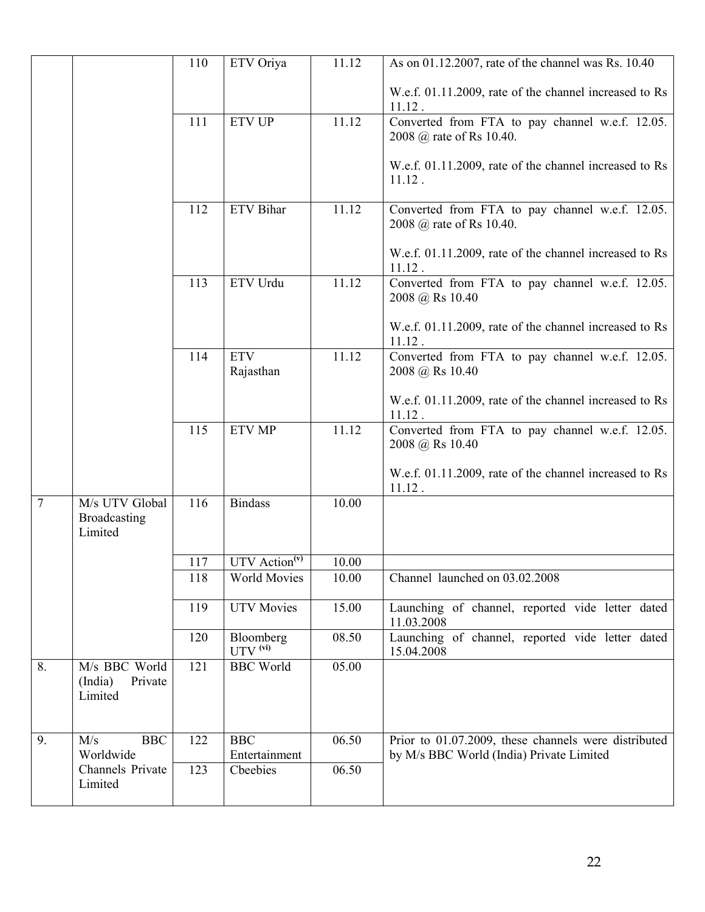|        |                                           | 110 | ETV Oriya                            | 11.12 | As on 01.12.2007, rate of the channel was Rs. 10.40                 |
|--------|-------------------------------------------|-----|--------------------------------------|-------|---------------------------------------------------------------------|
|        |                                           |     |                                      |       |                                                                     |
|        |                                           |     |                                      |       | W.e.f. 01.11.2009, rate of the channel increased to Rs<br>11.12.    |
|        |                                           | 111 | <b>ETV UP</b>                        | 11.12 | Converted from FTA to pay channel w.e.f. 12.05.                     |
|        |                                           |     |                                      |       | 2008 @ rate of Rs 10.40.                                            |
|        |                                           |     |                                      |       |                                                                     |
|        |                                           |     |                                      |       | W.e.f. 01.11.2009, rate of the channel increased to Rs<br>$11.12$ . |
|        |                                           |     |                                      |       |                                                                     |
|        |                                           | 112 | <b>ETV</b> Bihar                     | 11.12 | Converted from FTA to pay channel w.e.f. 12.05.                     |
|        |                                           |     |                                      |       | 2008 @ rate of Rs 10.40.                                            |
|        |                                           |     |                                      |       | W.e.f. 01.11.2009, rate of the channel increased to Rs              |
|        |                                           |     |                                      |       | 11.12.                                                              |
|        |                                           | 113 | ETV Urdu                             | 11.12 | Converted from FTA to pay channel w.e.f. 12.05.<br>2008 @ Rs 10.40  |
|        |                                           |     |                                      |       | W.e.f. 01.11.2009, rate of the channel increased to Rs              |
|        |                                           |     |                                      |       | 11.12                                                               |
|        |                                           | 114 | <b>ETV</b>                           | 11.12 | Converted from FTA to pay channel w.e.f. 12.05.                     |
|        |                                           |     | Rajasthan                            |       | 2008 @ Rs 10.40                                                     |
|        |                                           |     |                                      |       | W.e.f. 01.11.2009, rate of the channel increased to Rs              |
|        |                                           |     |                                      |       | 11.12.                                                              |
|        |                                           | 115 | <b>ETV MP</b>                        | 11.12 | Converted from FTA to pay channel w.e.f. 12.05.<br>2008 @ Rs 10.40  |
|        |                                           |     |                                      |       | W.e.f. 01.11.2009, rate of the channel increased to Rs<br>11.12.    |
| $\tau$ | M/s UTV Global<br>Broadcasting<br>Limited | 116 | <b>Bindass</b>                       | 10.00 |                                                                     |
|        |                                           | 117 | UTV $\overline{\text{Action}^{(v)}}$ | 10.00 |                                                                     |
|        |                                           | 118 | <b>World Movies</b>                  | 10.00 | Channel launched on 03.02.2008                                      |
|        |                                           |     |                                      |       |                                                                     |
|        |                                           | 119 | <b>UTV</b> Movies                    | 15.00 | Launching of channel, reported vide letter dated                    |
|        |                                           | 120 | Bloomberg                            | 08.50 | 11.03.2008<br>Launching of channel, reported vide letter dated      |
|        |                                           |     | $UTV$ <sup>(vi)</sup>                |       | 15.04.2008                                                          |
| 8.     | M/s BBC World                             | 121 | <b>BBC</b> World                     | 05.00 |                                                                     |
|        | Private<br>(India)<br>Limited             |     |                                      |       |                                                                     |
|        |                                           |     |                                      |       |                                                                     |
|        |                                           |     |                                      |       |                                                                     |
| 9.     | <b>BBC</b><br>M/s                         | 122 | <b>BBC</b>                           | 06.50 | Prior to 01.07.2009, these channels were distributed                |
|        | Worldwide<br>Channels Private             | 123 | Entertainment<br>Cbeebies            | 06.50 | by M/s BBC World (India) Private Limited                            |
|        | Limited                                   |     |                                      |       |                                                                     |
|        |                                           |     |                                      |       |                                                                     |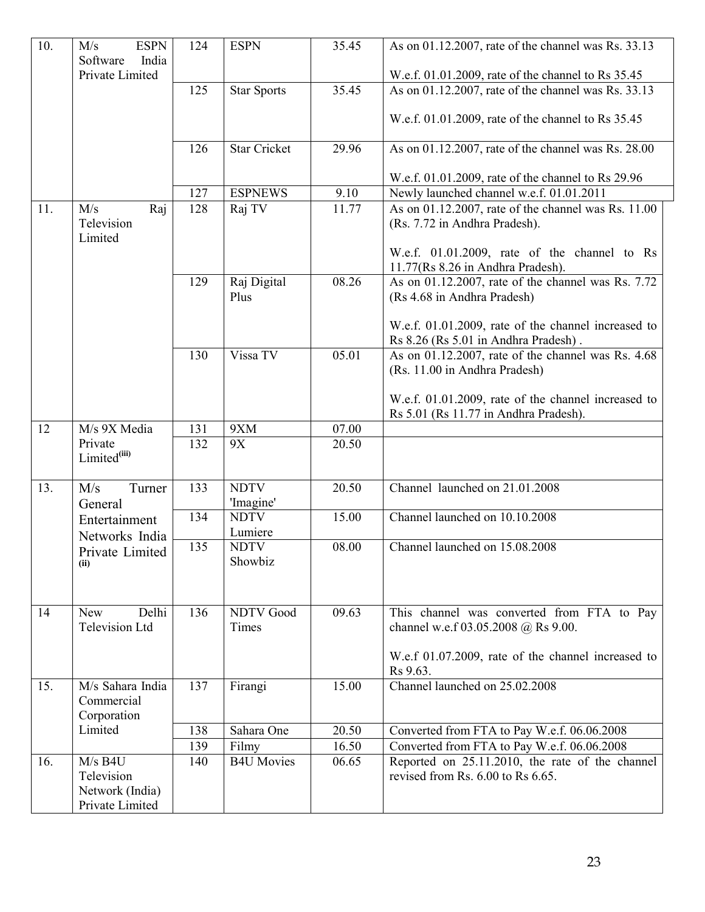| 10. | <b>ESPN</b><br>M/s<br>Software<br>India<br>Private Limited    | 124 | <b>ESPN</b>               | 35.45             | As on 01.12.2007, rate of the channel was Rs. 33.13<br>W.e.f. 01.01.2009, rate of the channel to Rs 35.45 |
|-----|---------------------------------------------------------------|-----|---------------------------|-------------------|-----------------------------------------------------------------------------------------------------------|
|     |                                                               | 125 | <b>Star Sports</b>        | 35.45             | As on 01.12.2007, rate of the channel was Rs. 33.13                                                       |
|     |                                                               |     |                           |                   | W.e.f. 01.01.2009, rate of the channel to Rs 35.45                                                        |
|     |                                                               | 126 | <b>Star Cricket</b>       | 29.96             | As on 01.12.2007, rate of the channel was Rs. 28.00                                                       |
|     |                                                               |     |                           |                   | W.e.f. 01.01.2009, rate of the channel to Rs 29.96                                                        |
|     |                                                               | 127 | <b>ESPNEWS</b>            | $\overline{9.10}$ | Newly launched channel w.e.f. 01.01.2011                                                                  |
| 11. | M/s<br>Raj<br>Television<br>Limited                           | 128 | Raj TV                    | 11.77             | As on 01.12.2007, rate of the channel was Rs. 11.00<br>(Rs. 7.72 in Andhra Pradesh).                      |
|     |                                                               |     |                           |                   | W.e.f. 01.01.2009, rate of the channel to Rs<br>11.77(Rs 8.26 in Andhra Pradesh).                         |
|     |                                                               | 129 | Raj Digital<br>Plus       | 08.26             | As on 01.12.2007, rate of the channel was Rs. 7.72<br>(Rs 4.68 in Andhra Pradesh)                         |
|     |                                                               |     |                           |                   | W.e.f. 01.01.2009, rate of the channel increased to<br>Rs 8.26 (Rs 5.01 in Andhra Pradesh).               |
|     |                                                               | 130 | Vissa TV                  | 05.01             | As on 01.12.2007, rate of the channel was Rs. 4.68<br>(Rs. 11.00 in Andhra Pradesh)                       |
|     |                                                               |     |                           |                   | W.e.f. 01.01.2009, rate of the channel increased to<br>Rs 5.01 (Rs 11.77 in Andhra Pradesh).              |
| 12  | M/s 9X Media                                                  | 131 | 9XM                       | 07.00             |                                                                                                           |
|     | Private<br>Limited <sup>(iii)</sup>                           | 132 | 9X                        | 20.50             |                                                                                                           |
| 13. | M/s<br>Turner<br>General                                      | 133 | <b>NDTV</b><br>'Imagine'  | 20.50             | Channel launched on 21.01.2008                                                                            |
|     | Entertainment                                                 | 134 | <b>NDTV</b>               | 15.00             | Channel launched on 10.10.2008                                                                            |
|     | Networks India                                                |     | Lumiere                   |                   |                                                                                                           |
|     | Private Limited<br>(ii)                                       | 135 | <b>NDTV</b><br>Showbiz    | 08.00             | Channel launched on 15.08.2008                                                                            |
| 14  | Delhi<br><b>New</b><br><b>Television Ltd</b>                  | 136 | <b>NDTV Good</b><br>Times | 09.63             | This channel was converted from FTA to Pay<br>channel w.e.f 03.05.2008 @ Rs 9.00.                         |
|     |                                                               |     |                           |                   | W.e.f 01.07.2009, rate of the channel increased to<br>Rs 9.63.                                            |
| 15. | M/s Sahara India<br>Commercial<br>Corporation                 | 137 | Firangi                   | 15.00             | Channel launched on 25.02.2008                                                                            |
|     | Limited                                                       | 138 | Sahara One                | 20.50             | Converted from FTA to Pay W.e.f. 06.06.2008                                                               |
|     |                                                               | 139 | Filmy                     | 16.50             | Converted from FTA to Pay W.e.f. 06.06.2008                                                               |
| 16. | $M/s$ B4U<br>Television<br>Network (India)<br>Private Limited | 140 | <b>B4U Movies</b>         | 06.65             | Reported on 25.11.2010, the rate of the channel<br>revised from Rs. 6.00 to Rs 6.65.                      |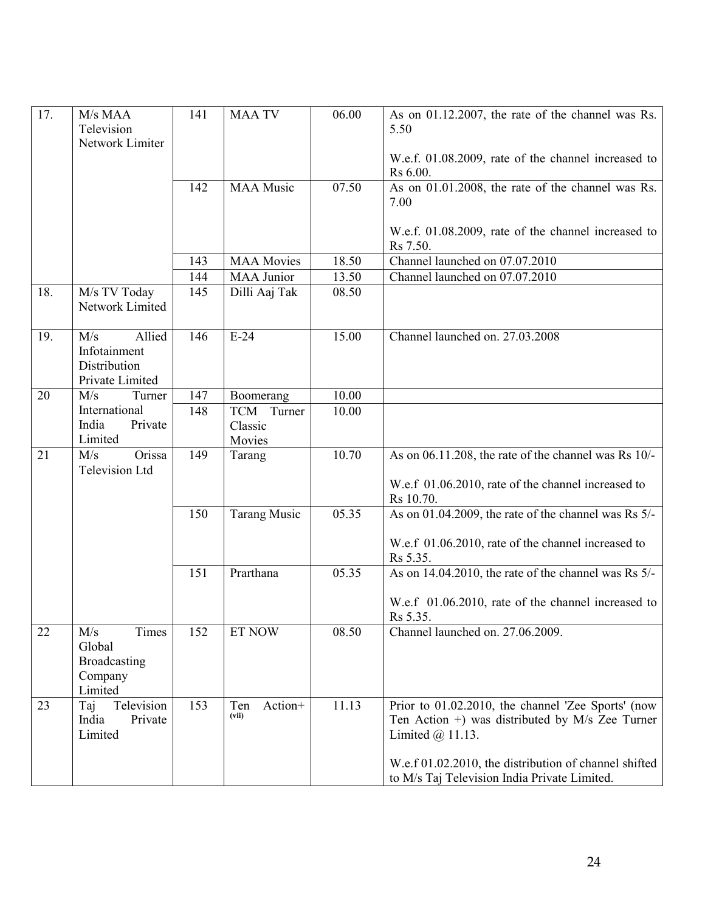| 17. | M/s MAA<br>Television<br>Network Limiter                         | 141 | <b>MAA TV</b>           | 06.00 | As on 01.12.2007, the rate of the channel was Rs.<br>5.50<br>W.e.f. 01.08.2009, rate of the channel increased to                |
|-----|------------------------------------------------------------------|-----|-------------------------|-------|---------------------------------------------------------------------------------------------------------------------------------|
|     |                                                                  | 142 | <b>MAA Music</b>        | 07.50 | Rs 6.00.<br>As on 01.01.2008, the rate of the channel was Rs.<br>7.00                                                           |
|     |                                                                  |     |                         |       | W.e.f. 01.08.2009, rate of the channel increased to<br>Rs 7.50.                                                                 |
|     |                                                                  | 143 | <b>MAA Movies</b>       | 18.50 | Channel launched on 07.07.2010                                                                                                  |
|     |                                                                  | 144 | <b>MAA Junior</b>       | 13.50 | Channel launched on 07.07.2010                                                                                                  |
| 18. | M/s TV Today<br>Network Limited                                  | 145 | Dilli Aaj Tak           | 08.50 |                                                                                                                                 |
| 19. | Allied<br>M/s<br>Infotainment<br>Distribution<br>Private Limited | 146 | $E-24$                  | 15.00 | Channel launched on. 27.03.2008                                                                                                 |
| 20  | M/s<br>Turner                                                    | 147 | Boomerang               | 10.00 |                                                                                                                                 |
|     | International                                                    | 148 | <b>TCM</b><br>Turner    | 10.00 |                                                                                                                                 |
|     | India<br>Private                                                 |     | Classic                 |       |                                                                                                                                 |
|     | Limited                                                          |     | Movies                  |       |                                                                                                                                 |
| 21  | Orissa<br>M/s<br><b>Television Ltd</b>                           | 149 | Tarang                  | 10.70 | As on 06.11.208, the rate of the channel was Rs 10/-<br>W.e.f 01.06.2010, rate of the channel increased to<br>Rs 10.70.         |
|     |                                                                  | 150 | <b>Tarang Music</b>     | 05.35 | As on 01.04.2009, the rate of the channel was Rs 5/-                                                                            |
|     |                                                                  |     |                         |       | W.e.f 01.06.2010, rate of the channel increased to<br>Rs 5.35.                                                                  |
|     |                                                                  | 151 | Prarthana               | 05.35 | As on 14.04.2010, the rate of the channel was Rs 5/-                                                                            |
|     |                                                                  |     |                         |       | W.e.f 01.06.2010, rate of the channel increased to<br>Rs 5.35.                                                                  |
| 22  | Times<br>M/s<br>Global<br>Broadcasting<br>Company<br>Limited     | 152 | ET NOW                  | 08.50 | Channel launched on. 27.06.2009.                                                                                                |
| 23  | Television<br>Taj<br>India<br>Private<br>Limited                 | 153 | Action+<br>Ten<br>(vii) | 11.13 | Prior to 01.02.2010, the channel 'Zee Sports' (now<br>Ten Action +) was distributed by $M/s$ Zee Turner<br>Limited $(a)$ 11.13. |
|     |                                                                  |     |                         |       | W.e.f 01.02.2010, the distribution of channel shifted<br>to M/s Taj Television India Private Limited.                           |